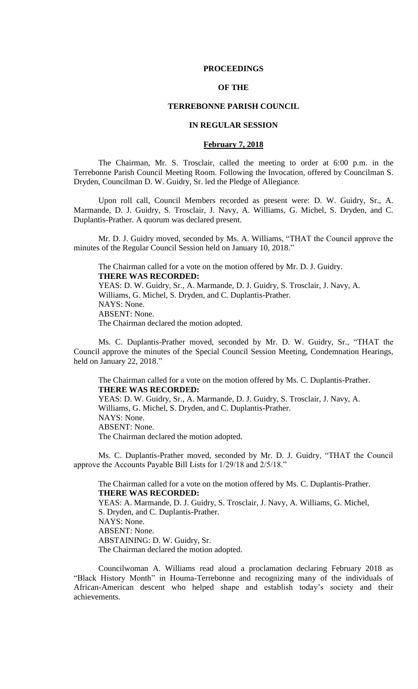### **PROCEEDINGS**

# **OF THE**

# **TERREBONNE PARISH COUNCIL**

### **IN REGULAR SESSION**

#### **February 7, 2018**

The Chairman, Mr. S. Trosclair, called the meeting to order at 6:00 p.m. in the Terrebonne Parish Council Meeting Room. Following the Invocation, offered by Councilman S. Dryden, Councilman D. W. Guidry, Sr. led the Pledge of Allegiance.

Upon roll call, Council Members recorded as present were: D. W. Guidry, Sr., A. Marmande, D. J. Guidry, S. Trosclair, J. Navy, A. Williams, G. Michel, S. Dryden, and C. Duplantis-Prather. A quorum was declared present.

Mr. D. J. Guidry moved, seconded by Ms. A. Williams, "THAT the Council approve the minutes of the Regular Council Session held on January 10, 2018."

The Chairman called for a vote on the motion offered by Mr. D. J. Guidry. **THERE WAS RECORDED:** YEAS: D. W. Guidry, Sr., A. Marmande, D. J. Guidry, S. Trosclair, J. Navy, A. Williams, G. Michel, S. Dryden, and C. Duplantis-Prather. NAYS: None. ABSENT: None. The Chairman declared the motion adopted.

Ms. C. Duplantis-Prather moved, seconded by Mr. D. W. Guidry, Sr., "THAT the Council approve the minutes of the Special Council Session Meeting, Condemnation Hearings, held on January 22, 2018."

The Chairman called for a vote on the motion offered by Ms. C. Duplantis-Prather. **THERE WAS RECORDED:** YEAS: D. W. Guidry, Sr., A. Marmande, D. J. Guidry, S. Trosclair, J. Navy, A. Williams, G. Michel, S. Dryden, and C. Duplantis-Prather. NAYS: None. ABSENT: None. The Chairman declared the motion adopted.

Ms. C. Duplantis-Prather moved, seconded by Mr. D. J. Guidry, "THAT the Council approve the Accounts Payable Bill Lists for 1/29/18 and 2/5/18."

The Chairman called for a vote on the motion offered by Ms. C. Duplantis-Prather. **THERE WAS RECORDED:** YEAS: A. Marmande, D. J. Guidry, S. Trosclair, J. Navy, A. Williams, G. Michel, S. Dryden, and C. Duplantis-Prather. NAYS: None. ABSENT: None. ABSTAINING: D. W. Guidry, Sr. The Chairman declared the motion adopted.

Councilwoman A. Williams read aloud a proclamation declaring February 2018 as "Black History Month" in Houma-Terrebonne and recognizing many of the individuals of African-American descent who helped shape and establish today's society and their achievements.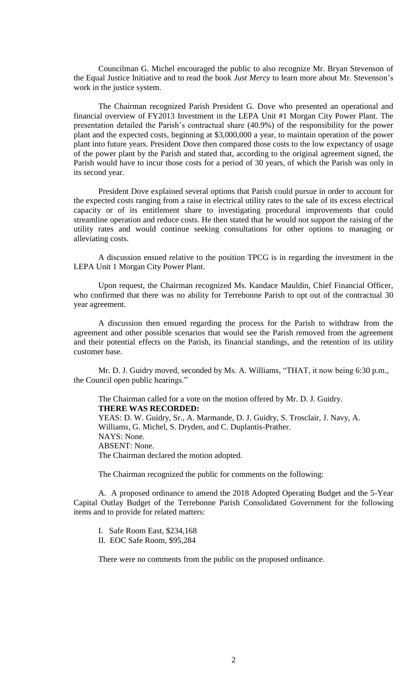Councilman G. Michel encouraged the public to also recognize Mr. Bryan Stevenson of the Equal Justice Initiative and to read the book *Just Mercy* to learn more about Mr. Stevenson's work in the justice system.

The Chairman recognized Parish President G. Dove who presented an operational and financial overview of FY2013 Investment in the LEPA Unit #1 Morgan City Power Plant. The presentation detailed the Parish's contractual share (40.9%) of the responsibility for the power plant and the expected costs, beginning at \$3,000,000 a year, to maintain operation of the power plant into future years. President Dove then compared those costs to the low expectancy of usage of the power plant by the Parish and stated that, according to the original agreement signed, the Parish would have to incur those costs for a period of 30 years, of which the Parish was only in its second year.

President Dove explained several options that Parish could pursue in order to account for the expected costs ranging from a raise in electrical utility rates to the sale of its excess electrical capacity or of its entitlement share to investigating procedural improvements that could streamline operation and reduce costs. He then stated that he would not support the raising of the utility rates and would continue seeking consultations for other options to managing or alleviating costs.

A discussion ensued relative to the position TPCG is in regarding the investment in the LEPA Unit 1 Morgan City Power Plant.

Upon request, the Chairman recognized Ms. Kandace Mauldin, Chief Financial Officer, who confirmed that there was no ability for Terrebonne Parish to opt out of the contractual 30 year agreement.

A discussion then ensued regarding the process for the Parish to withdraw from the agreement and other possible scenarios that would see the Parish removed from the agreement and their potential effects on the Parish, its financial standings, and the retention of its utility customer base.

Mr. D. J. Guidry moved, seconded by Ms. A. Williams, "THAT, it now being 6:30 p.m., the Council open public hearings."

The Chairman called for a vote on the motion offered by Mr. D. J. Guidry. **THERE WAS RECORDED:** YEAS: D. W. Guidry, Sr., A. Marmande, D. J. Guidry, S. Trosclair, J. Navy, A. Williams, G. Michel, S. Dryden, and C. Duplantis-Prather. NAYS: None. ABSENT: None. The Chairman declared the motion adopted.

The Chairman recognized the public for comments on the following:

A. A proposed ordinance to amend the 2018 Adopted Operating Budget and the 5-Year Capital Outlay Budget of the Terrebonne Parish Consolidated Government for the following items and to provide for related matters:

I. Safe Room East, \$234,168 II. EOC Safe Room, \$95,284

There were no comments from the public on the proposed ordinance.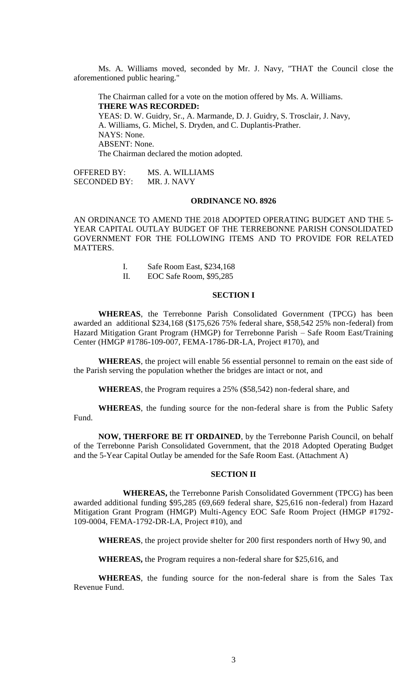Ms. A. Williams moved, seconded by Mr. J. Navy, "THAT the Council close the aforementioned public hearing."

The Chairman called for a vote on the motion offered by Ms. A. Williams. **THERE WAS RECORDED:** YEAS: D. W. Guidry, Sr., A. Marmande, D. J. Guidry, S. Trosclair, J. Navy, A. Williams, G. Michel, S. Dryden, and C. Duplantis-Prather. NAYS: None. ABSENT: None. The Chairman declared the motion adopted.

OFFERED BY: MS. A. WILLIAMS SECONDED BY: MR. J. NAVY

# **ORDINANCE NO. 8926**

AN ORDINANCE TO AMEND THE 2018 ADOPTED OPERATING BUDGET AND THE 5- YEAR CAPITAL OUTLAY BUDGET OF THE TERREBONNE PARISH CONSOLIDATED GOVERNMENT FOR THE FOLLOWING ITEMS AND TO PROVIDE FOR RELATED MATTERS.

- I. Safe Room East, \$234,168
- II. EOC Safe Room, \$95,285

# **SECTION I**

**WHEREAS**, the Terrebonne Parish Consolidated Government (TPCG) has been awarded an additional \$234,168 (\$175,626 75% federal share, \$58,542 25% non-federal) from Hazard Mitigation Grant Program (HMGP) for Terrebonne Parish – Safe Room East/Training Center (HMGP #1786-109-007, FEMA-1786-DR-LA, Project #170), and

**WHEREAS**, the project will enable 56 essential personnel to remain on the east side of the Parish serving the population whether the bridges are intact or not, and

**WHEREAS**, the Program requires a 25% (\$58,542) non-federal share, and

**WHEREAS**, the funding source for the non-federal share is from the Public Safety Fund.

**NOW, THERFORE BE IT ORDAINED**, by the Terrebonne Parish Council, on behalf of the Terrebonne Parish Consolidated Government, that the 2018 Adopted Operating Budget and the 5-Year Capital Outlay be amended for the Safe Room East. (Attachment A)

# **SECTION II**

**WHEREAS,** the Terrebonne Parish Consolidated Government (TPCG) has been awarded additional funding \$95,285 (69,669 federal share, \$25,616 non-federal) from Hazard Mitigation Grant Program (HMGP) Multi-Agency EOC Safe Room Project (HMGP #1792- 109-0004, FEMA-1792-DR-LA, Project #10), and

**WHEREAS**, the project provide shelter for 200 first responders north of Hwy 90, and

**WHEREAS,** the Program requires a non-federal share for \$25,616, and

**WHEREAS**, the funding source for the non-federal share is from the Sales Tax Revenue Fund.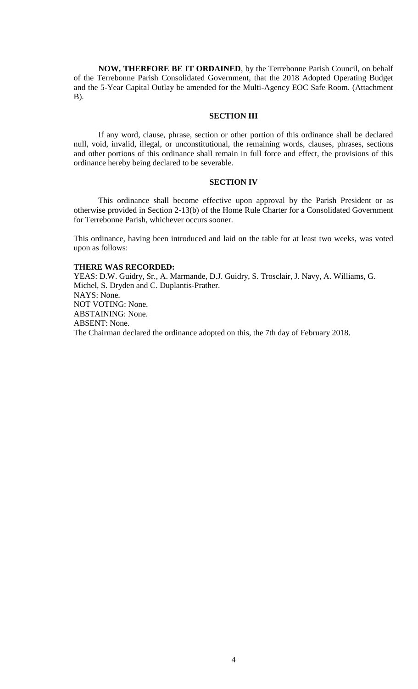**NOW, THERFORE BE IT ORDAINED**, by the Terrebonne Parish Council, on behalf of the Terrebonne Parish Consolidated Government, that the 2018 Adopted Operating Budget and the 5-Year Capital Outlay be amended for the Multi-Agency EOC Safe Room. (Attachment B).

# **SECTION III**

If any word, clause, phrase, section or other portion of this ordinance shall be declared null, void, invalid, illegal, or unconstitutional, the remaining words, clauses, phrases, sections and other portions of this ordinance shall remain in full force and effect, the provisions of this ordinance hereby being declared to be severable.

# **SECTION IV**

This ordinance shall become effective upon approval by the Parish President or as otherwise provided in Section 2-13(b) of the Home Rule Charter for a Consolidated Government for Terrebonne Parish, whichever occurs sooner.

This ordinance, having been introduced and laid on the table for at least two weeks, was voted upon as follows:

# **THERE WAS RECORDED:**

YEAS: D.W. Guidry, Sr., A. Marmande, D.J. Guidry, S. Trosclair, J. Navy, A. Williams, G. Michel, S. Dryden and C. Duplantis-Prather. NAYS: None. NOT VOTING: None. ABSTAINING: None. ABSENT: None. The Chairman declared the ordinance adopted on this, the 7th day of February 2018.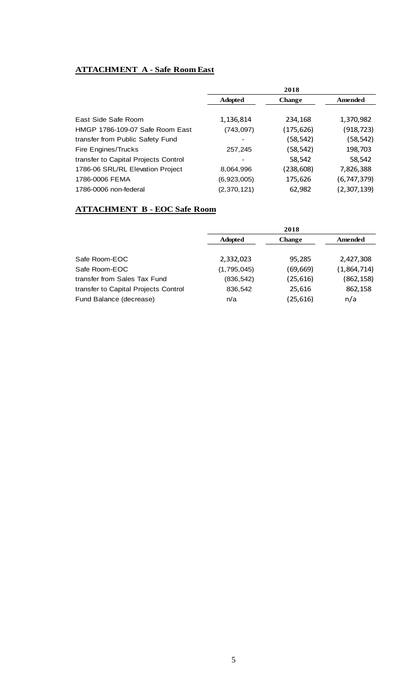# **ATTACHMENT A - Safe Room East**

|                                      | 2018           |               |             |
|--------------------------------------|----------------|---------------|-------------|
|                                      | <b>Adopted</b> | <b>Change</b> | Amended     |
|                                      |                |               |             |
| East Side Safe Room                  | 1,136,814      | 234,168       | 1,370,982   |
| HMGP 1786-109-07 Safe Room East      | (743,097)      | (175,626)     | (918,723)   |
| transfer from Public Safety Fund     |                | (58,542)      | (58,542)    |
| Fire Engines/Trucks                  | 257.245        | (58,542)      | 198,703     |
| transfer to Capital Projects Control |                | 58,542        | 58,542      |
| 1786-06 SRL/RL Elevation Project     | 8,064,996      | (238,608)     | 7,826,388   |
| 1786-0006 FEMA                       | (6,923,005)    | 175,626       | (6,747,379) |
| 1786-0006 non-federal                | (2,370,121)    | 62,982        | (2,307,139) |

# **ATTACHMENT B - EOC Safe Room**

|                                      | 2018           |               |             |
|--------------------------------------|----------------|---------------|-------------|
|                                      | <b>Adopted</b> | <b>Change</b> | Amended     |
|                                      |                |               |             |
| Safe Room-EOC                        | 2,332,023      | 95,285        | 2,427,308   |
| Safe Room-EOC                        | (1,795,045)    | (69, 669)     | (1,864,714) |
| transfer from Sales Tax Fund         | (836, 542)     | (25, 616)     | (862, 158)  |
| transfer to Capital Projects Control | 836,542        | 25,616        | 862,158     |
| Fund Balance (decrease)              | n/a            | (25, 616)     | n/a         |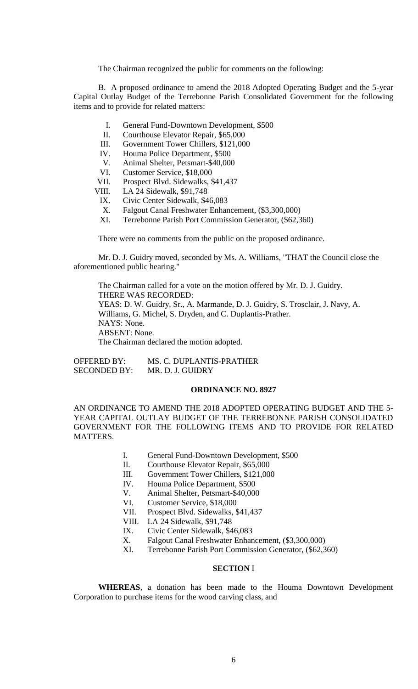The Chairman recognized the public for comments on the following:

B. A proposed ordinance to amend the 2018 Adopted Operating Budget and the 5-year Capital Outlay Budget of the Terrebonne Parish Consolidated Government for the following items and to provide for related matters:

- I. General Fund-Downtown Development, \$500
- II. Courthouse Elevator Repair, \$65,000
- III. Government Tower Chillers, \$121,000
- IV. Houma Police Department, \$500
- V. Animal Shelter, Petsmart-\$40,000
- VI. Customer Service, \$18,000
- VII. Prospect Blvd. Sidewalks, \$41,437
- VIII. LA 24 Sidewalk, \$91,748
	- IX. Civic Center Sidewalk, \$46,083
	- X. Falgout Canal Freshwater Enhancement, (\$3,300,000)
- XI. Terrebonne Parish Port Commission Generator, (\$62,360)

There were no comments from the public on the proposed ordinance.

Mr. D. J. Guidry moved, seconded by Ms. A. Williams, "THAT the Council close the aforementioned public hearing."

The Chairman called for a vote on the motion offered by Mr. D. J. Guidry. THERE WAS RECORDED: YEAS: D. W. Guidry, Sr., A. Marmande, D. J. Guidry, S. Trosclair, J. Navy, A. Williams, G. Michel, S. Dryden, and C. Duplantis-Prather. NAYS: None. ABSENT: None. The Chairman declared the motion adopted.

OFFERED BY: MS. C. DUPLANTIS-PRATHER SECONDED BY: MR. D. J. GUIDRY

# **ORDINANCE NO. 8927**

AN ORDINANCE TO AMEND THE 2018 ADOPTED OPERATING BUDGET AND THE 5- YEAR CAPITAL OUTLAY BUDGET OF THE TERREBONNE PARISH CONSOLIDATED GOVERNMENT FOR THE FOLLOWING ITEMS AND TO PROVIDE FOR RELATED MATTERS.

- I. General Fund-Downtown Development, \$500
- II. Courthouse Elevator Repair, \$65,000
- III. Government Tower Chillers, \$121,000
- IV. Houma Police Department, \$500
- V. Animal Shelter, Petsmart-\$40,000
- VI. Customer Service, \$18,000
- VII. Prospect Blvd. Sidewalks, \$41,437
- VIII. LA 24 Sidewalk, \$91,748
- IX. Civic Center Sidewalk, \$46,083
- X. Falgout Canal Freshwater Enhancement, (\$3,300,000)
- XI. Terrebonne Parish Port Commission Generator, (\$62,360)

# **SECTION** I

**WHEREAS**, a donation has been made to the Houma Downtown Development Corporation to purchase items for the wood carving class, and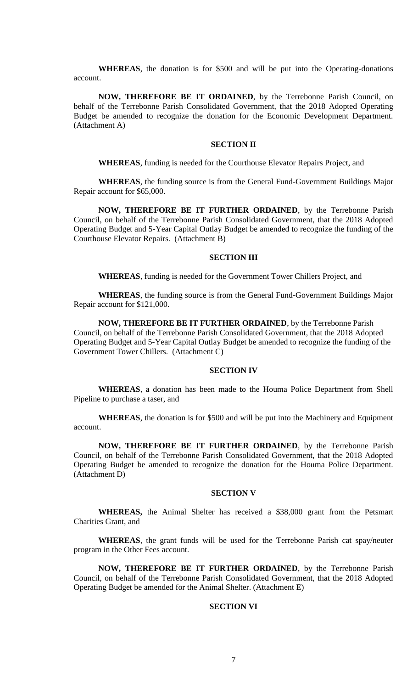**WHEREAS**, the donation is for \$500 and will be put into the Operating-donations account.

**NOW, THEREFORE BE IT ORDAINED**, by the Terrebonne Parish Council, on behalf of the Terrebonne Parish Consolidated Government, that the 2018 Adopted Operating Budget be amended to recognize the donation for the Economic Development Department. (Attachment A)

#### **SECTION II**

**WHEREAS**, funding is needed for the Courthouse Elevator Repairs Project, and

**WHEREAS**, the funding source is from the General Fund-Government Buildings Major Repair account for \$65,000.

**NOW, THEREFORE BE IT FURTHER ORDAINED**, by the Terrebonne Parish Council, on behalf of the Terrebonne Parish Consolidated Government, that the 2018 Adopted Operating Budget and 5-Year Capital Outlay Budget be amended to recognize the funding of the Courthouse Elevator Repairs. (Attachment B)

### **SECTION III**

**WHEREAS**, funding is needed for the Government Tower Chillers Project, and

**WHEREAS**, the funding source is from the General Fund-Government Buildings Major Repair account for \$121,000.

**NOW, THEREFORE BE IT FURTHER ORDAINED**, by the Terrebonne Parish Council, on behalf of the Terrebonne Parish Consolidated Government, that the 2018 Adopted Operating Budget and 5-Year Capital Outlay Budget be amended to recognize the funding of the Government Tower Chillers. (Attachment C)

# **SECTION IV**

**WHEREAS**, a donation has been made to the Houma Police Department from Shell Pipeline to purchase a taser, and

**WHEREAS**, the donation is for \$500 and will be put into the Machinery and Equipment account.

**NOW, THEREFORE BE IT FURTHER ORDAINED**, by the Terrebonne Parish Council, on behalf of the Terrebonne Parish Consolidated Government, that the 2018 Adopted Operating Budget be amended to recognize the donation for the Houma Police Department. (Attachment D)

#### **SECTION V**

**WHEREAS,** the Animal Shelter has received a \$38,000 grant from the Petsmart Charities Grant, and

**WHEREAS**, the grant funds will be used for the Terrebonne Parish cat spay/neuter program in the Other Fees account.

**NOW, THEREFORE BE IT FURTHER ORDAINED**, by the Terrebonne Parish Council, on behalf of the Terrebonne Parish Consolidated Government, that the 2018 Adopted Operating Budget be amended for the Animal Shelter. (Attachment E)

### **SECTION VI**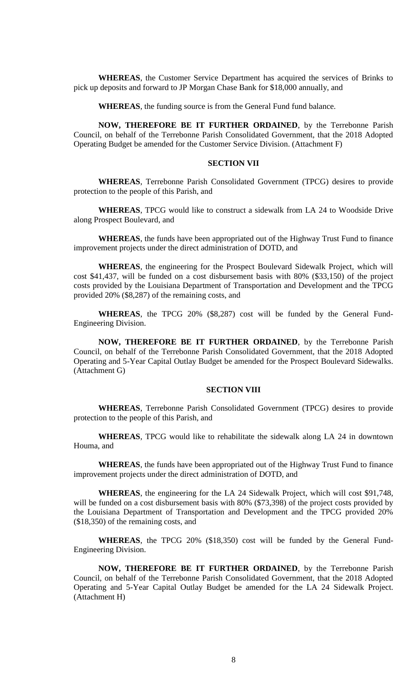**WHEREAS**, the Customer Service Department has acquired the services of Brinks to pick up deposits and forward to JP Morgan Chase Bank for \$18,000 annually, and

**WHEREAS**, the funding source is from the General Fund fund balance.

**NOW, THEREFORE BE IT FURTHER ORDAINED**, by the Terrebonne Parish Council, on behalf of the Terrebonne Parish Consolidated Government, that the 2018 Adopted Operating Budget be amended for the Customer Service Division. (Attachment F)

# **SECTION VII**

**WHEREAS**, Terrebonne Parish Consolidated Government (TPCG) desires to provide protection to the people of this Parish, and

**WHEREAS**, TPCG would like to construct a sidewalk from LA 24 to Woodside Drive along Prospect Boulevard, and

**WHEREAS**, the funds have been appropriated out of the Highway Trust Fund to finance improvement projects under the direct administration of DOTD, and

**WHEREAS**, the engineering for the Prospect Boulevard Sidewalk Project, which will cost \$41,437, will be funded on a cost disbursement basis with 80% (\$33,150) of the project costs provided by the Louisiana Department of Transportation and Development and the TPCG provided 20% (\$8,287) of the remaining costs, and

**WHEREAS**, the TPCG 20% (\$8,287) cost will be funded by the General Fund-Engineering Division.

**NOW, THEREFORE BE IT FURTHER ORDAINED**, by the Terrebonne Parish Council, on behalf of the Terrebonne Parish Consolidated Government, that the 2018 Adopted Operating and 5-Year Capital Outlay Budget be amended for the Prospect Boulevard Sidewalks. (Attachment G)

# **SECTION VIII**

**WHEREAS**, Terrebonne Parish Consolidated Government (TPCG) desires to provide protection to the people of this Parish, and

**WHEREAS**, TPCG would like to rehabilitate the sidewalk along LA 24 in downtown Houma, and

**WHEREAS**, the funds have been appropriated out of the Highway Trust Fund to finance improvement projects under the direct administration of DOTD, and

**WHEREAS**, the engineering for the LA 24 Sidewalk Project, which will cost \$91,748, will be funded on a cost disbursement basis with 80% (\$73,398) of the project costs provided by the Louisiana Department of Transportation and Development and the TPCG provided 20% (\$18,350) of the remaining costs, and

**WHEREAS**, the TPCG 20% (\$18,350) cost will be funded by the General Fund-Engineering Division.

**NOW, THEREFORE BE IT FURTHER ORDAINED**, by the Terrebonne Parish Council, on behalf of the Terrebonne Parish Consolidated Government, that the 2018 Adopted Operating and 5-Year Capital Outlay Budget be amended for the LA 24 Sidewalk Project. (Attachment H)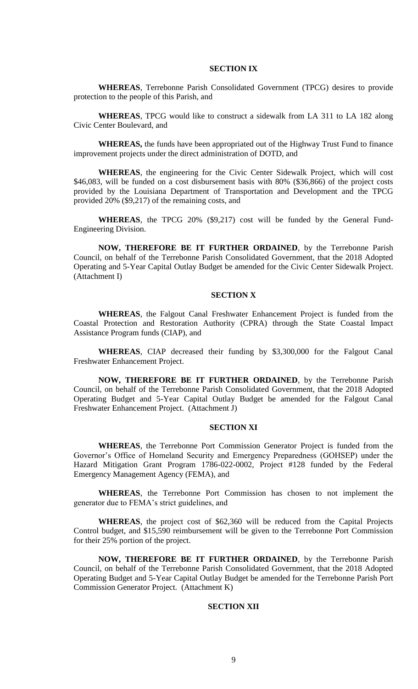### **SECTION IX**

**WHEREAS**, Terrebonne Parish Consolidated Government (TPCG) desires to provide protection to the people of this Parish, and

**WHEREAS**, TPCG would like to construct a sidewalk from LA 311 to LA 182 along Civic Center Boulevard, and

**WHEREAS,** the funds have been appropriated out of the Highway Trust Fund to finance improvement projects under the direct administration of DOTD, and

**WHEREAS**, the engineering for the Civic Center Sidewalk Project, which will cost \$46,083, will be funded on a cost disbursement basis with 80% (\$36,866) of the project costs provided by the Louisiana Department of Transportation and Development and the TPCG provided 20% (\$9,217) of the remaining costs, and

**WHEREAS**, the TPCG 20% (\$9,217) cost will be funded by the General Fund-Engineering Division.

**NOW, THEREFORE BE IT FURTHER ORDAINED**, by the Terrebonne Parish Council, on behalf of the Terrebonne Parish Consolidated Government, that the 2018 Adopted Operating and 5-Year Capital Outlay Budget be amended for the Civic Center Sidewalk Project. (Attachment I)

# **SECTION X**

**WHEREAS**, the Falgout Canal Freshwater Enhancement Project is funded from the Coastal Protection and Restoration Authority (CPRA) through the State Coastal Impact Assistance Program funds (CIAP), and

**WHEREAS**, CIAP decreased their funding by \$3,300,000 for the Falgout Canal Freshwater Enhancement Project.

**NOW, THEREFORE BE IT FURTHER ORDAINED**, by the Terrebonne Parish Council, on behalf of the Terrebonne Parish Consolidated Government, that the 2018 Adopted Operating Budget and 5-Year Capital Outlay Budget be amended for the Falgout Canal Freshwater Enhancement Project. (Attachment J)

### **SECTION XI**

**WHEREAS**, the Terrebonne Port Commission Generator Project is funded from the Governor's Office of Homeland Security and Emergency Preparedness (GOHSEP) under the Hazard Mitigation Grant Program 1786-022-0002, Project #128 funded by the Federal Emergency Management Agency (FEMA), and

**WHEREAS**, the Terrebonne Port Commission has chosen to not implement the generator due to FEMA's strict guidelines, and

**WHEREAS**, the project cost of \$62,360 will be reduced from the Capital Projects Control budget, and \$15,590 reimbursement will be given to the Terrebonne Port Commission for their 25% portion of the project.

**NOW, THEREFORE BE IT FURTHER ORDAINED**, by the Terrebonne Parish Council, on behalf of the Terrebonne Parish Consolidated Government, that the 2018 Adopted Operating Budget and 5-Year Capital Outlay Budget be amended for the Terrebonne Parish Port Commission Generator Project. (Attachment K)

#### **SECTION XII**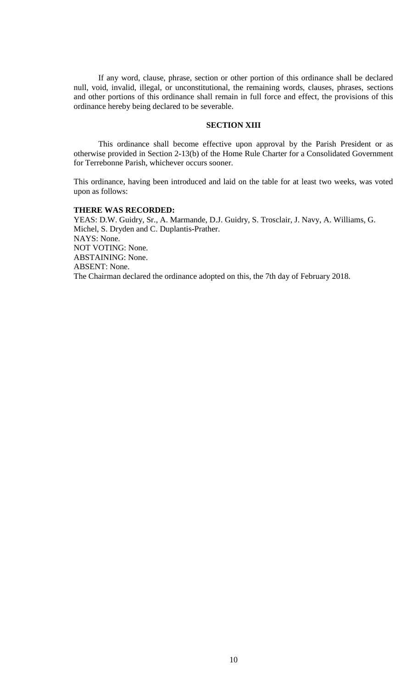If any word, clause, phrase, section or other portion of this ordinance shall be declared null, void, invalid, illegal, or unconstitutional, the remaining words, clauses, phrases, sections and other portions of this ordinance shall remain in full force and effect, the provisions of this ordinance hereby being declared to be severable.

# **SECTION XIII**

This ordinance shall become effective upon approval by the Parish President or as otherwise provided in Section 2-13(b) of the Home Rule Charter for a Consolidated Government for Terrebonne Parish, whichever occurs sooner.

This ordinance, having been introduced and laid on the table for at least two weeks, was voted upon as follows:

# **THERE WAS RECORDED:**

YEAS: D.W. Guidry, Sr., A. Marmande, D.J. Guidry, S. Trosclair, J. Navy, A. Williams, G. Michel, S. Dryden and C. Duplantis-Prather. NAYS: None. NOT VOTING: None. ABSTAINING: None. ABSENT: None. The Chairman declared the ordinance adopted on this, the 7th day of February 2018.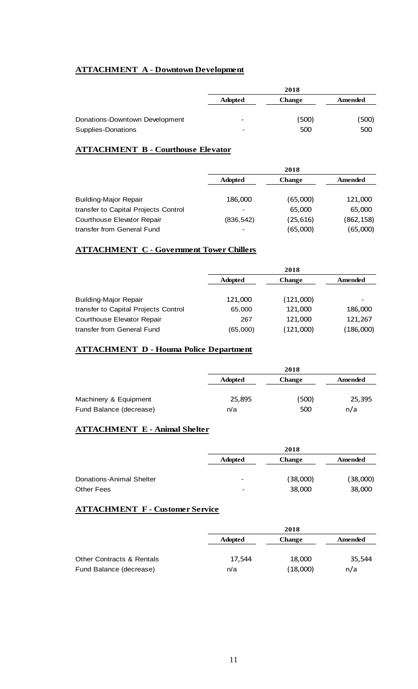# **ATTACHMENT A - Downtown Development**

|                                | 2018                     |               |         |
|--------------------------------|--------------------------|---------------|---------|
|                                | <b>Adopted</b>           | <b>Change</b> | Amended |
| Donations-Downtown Development | $\overline{\phantom{0}}$ | (500)         | (500)   |
| Supplies-Donations             | -                        | 500           | 500     |

# **ATTACHMENT B - Courthouse Elevator**

|                                      | 2018           |               |            |
|--------------------------------------|----------------|---------------|------------|
|                                      | <b>Adopted</b> | <b>Change</b> | Amended    |
|                                      |                |               |            |
| <b>Building-Major Repair</b>         | 186,000        | (65,000)      | 121,000    |
| transfer to Capital Projects Control |                | 65,000        | 65,000     |
| Courthouse Elevator Repair           | (836,542)      | (25, 616)     | (862, 158) |
| transfer from General Fund           |                | (65,000)      | (65,000)   |

# **ATTACHMENT C - Government Tower Chillers**

|                                      | 2018           |               |           |  |
|--------------------------------------|----------------|---------------|-----------|--|
|                                      | <b>Adopted</b> | <b>Change</b> | Amended   |  |
|                                      |                |               |           |  |
| <b>Building-Major Repair</b>         | 121,000        | (121,000)     |           |  |
| transfer to Capital Projects Control | 65,000         | 121,000       | 186,000   |  |
| Courthouse Elevator Repair           | 267            | 121,000       | 121,267   |  |
| transfer from General Fund           | (65,000)       | (121,000)     | (186,000) |  |

# **ATTACHMENT D - Houma Police Department**

|                         |                | 2018   |                |
|-------------------------|----------------|--------|----------------|
|                         | <b>Adopted</b> | Change | <b>Amended</b> |
|                         |                |        |                |
| Machinery & Equipment   | 25,895         | (500)  | 25,395         |
| Fund Balance (decrease) | n/a            | 500    | n/a            |

# **ATTACHMENT E - Animal Shelter**

|                          | 2018                     |               |          |
|--------------------------|--------------------------|---------------|----------|
|                          | <b>Adopted</b>           | <b>Change</b> | Amended  |
|                          |                          |               |          |
| Donations-Animal Shelter | $\overline{\phantom{0}}$ | (38,000)      | (38,000) |
| Other Fees               | $\overline{\phantom{0}}$ | 38,000        | 38,000   |
|                          |                          |               |          |

# **ATTACHMENT F - Customer Service**

|                                      |                | 2018          |         |  |
|--------------------------------------|----------------|---------------|---------|--|
|                                      | <b>Adopted</b> | <b>Change</b> | Amended |  |
|                                      |                |               |         |  |
| <b>Other Contracts &amp; Rentals</b> | 17.544         | 18,000        | 35,544  |  |
| Fund Balance (decrease)              | n/a            | (18,000)      | n/a     |  |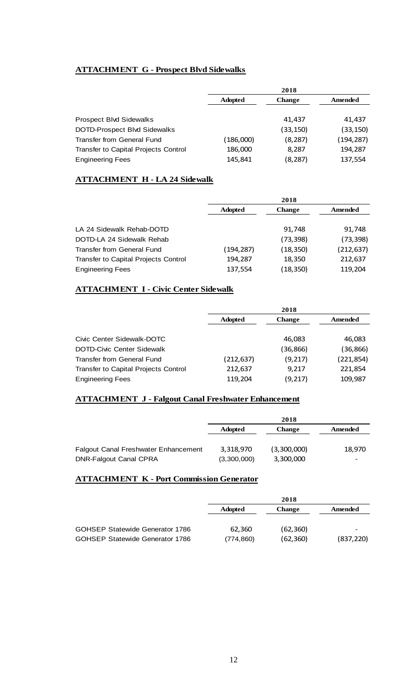# **ATTACHMENT G - Prospect Blvd Sidewalks**

|                                      | 2018           |               |            |
|--------------------------------------|----------------|---------------|------------|
|                                      | <b>Adopted</b> | <b>Change</b> | Amended    |
|                                      |                |               |            |
| <b>Prospect Blvd Sidewalks</b>       |                | 41,437        | 41,437     |
| DOTD-Prospect Blvd Sidewalks         |                | (33, 150)     | (33, 150)  |
| Transfer from General Fund           | (186,000)      | (8, 287)      | (194, 287) |
| Transfer to Capital Projects Control | 186,000        | 8,287         | 194,287    |
| <b>Engineering Fees</b>              | 145,841        | (8, 287)      | 137,554    |

# **ATTACHMENT H - LA 24 Sidewalk**

|                                      | 2018           |               |            |
|--------------------------------------|----------------|---------------|------------|
|                                      | <b>Adopted</b> | <b>Change</b> | Amended    |
|                                      |                |               |            |
| LA 24 Sidewalk Rehab-DOTD            |                | 91,748        | 91,748     |
| DOTD-LA 24 Sidewalk Rehab            |                | (73, 398)     | (73, 398)  |
| <b>Transfer from General Fund</b>    | (194,287)      | (18, 350)     | (212, 637) |
| Transfer to Capital Projects Control | 194,287        | 18,350        | 212,637    |
| <b>Engineering Fees</b>              | 137,554        | (18, 350)     | 119,204    |

# **ATTACHMENT I - Civic Center Sidewalk**

|                                             | 2018           |               |            |  |
|---------------------------------------------|----------------|---------------|------------|--|
|                                             | <b>Adopted</b> | <b>Change</b> | Amended    |  |
|                                             |                |               |            |  |
| Civic Center Sidewalk-DOTC                  |                | 46.083        | 46,083     |  |
| <b>DOTD-Civic Center Sidewalk</b>           |                | (36,866)      | (36,866)   |  |
| Transfer from General Fund                  | (212, 637)     | (9, 217)      | (221, 854) |  |
| <b>Transfer to Capital Projects Control</b> | 212,637        | 9,217         | 221,854    |  |
| <b>Engineering Fees</b>                     | 119,204        | (9, 217)      | 109,987    |  |

# **ATTACHMENT J - Falgout Canal Freshwater Enhancement**

|                                             | 2018           |               |         |
|---------------------------------------------|----------------|---------------|---------|
|                                             | <b>Adopted</b> | <b>Change</b> | Amended |
|                                             |                |               |         |
| <b>Falgout Canal Freshwater Enhancement</b> | 3,318,970      | (3,300,000)   | 18,970  |
| <b>DNR-Falgout Canal CPRA</b>               | (3,300,000)    | 3,300,000     | -       |

# **ATTACHMENT K - Port Commission Generator**

|                                        | 2018           |               |            |
|----------------------------------------|----------------|---------------|------------|
|                                        | <b>Adopted</b> | <b>Change</b> | Amended    |
|                                        |                |               |            |
| <b>GOHSEP Statewide Generator 1786</b> | 62,360         | (62,360)      |            |
| <b>GOHSEP Statewide Generator 1786</b> | (774, 860)     | (62,360)      | (837, 220) |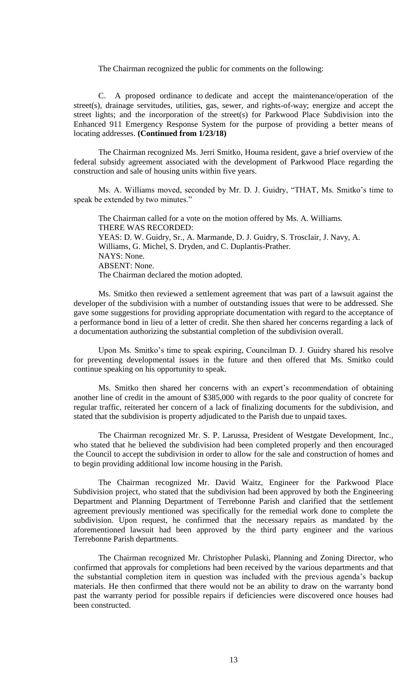The Chairman recognized the public for comments on the following:

C. A proposed ordinance to dedicate and accept the maintenance/operation of the street(s), drainage servitudes, utilities, gas, sewer, and rights-of-way; energize and accept the street lights; and the incorporation of the street(s) for Parkwood Place Subdivision into the Enhanced 911 Emergency Response System for the purpose of providing a better means of locating addresses. **(Continued from 1/23/18)**

The Chairman recognized Ms. Jerri Smitko, Houma resident, gave a brief overview of the federal subsidy agreement associated with the development of Parkwood Place regarding the construction and sale of housing units within five years.

Ms. A. Williams moved, seconded by Mr. D. J. Guidry, "THAT, Ms. Smitko's time to speak be extended by two minutes."

The Chairman called for a vote on the motion offered by Ms. A. Williams. THERE WAS RECORDED: YEAS: D. W. Guidry, Sr., A. Marmande, D. J. Guidry, S. Trosclair, J. Navy, A. Williams, G. Michel, S. Dryden, and C. Duplantis-Prather. NAYS: None. ABSENT: None. The Chairman declared the motion adopted.

Ms. Smitko then reviewed a settlement agreement that was part of a lawsuit against the developer of the subdivision with a number of outstanding issues that were to be addressed. She gave some suggestions for providing appropriate documentation with regard to the acceptance of a performance bond in lieu of a letter of credit. She then shared her concerns regarding a lack of a documentation authorizing the substantial completion of the subdivision overall.

Upon Ms. Smitko's time to speak expiring, Councilman D. J. Guidry shared his resolve for preventing developmental issues in the future and then offered that Ms. Smitko could continue speaking on his opportunity to speak.

Ms. Smitko then shared her concerns with an expert's recommendation of obtaining another line of credit in the amount of \$385,000 with regards to the poor quality of concrete for regular traffic, reiterated her concern of a lack of finalizing documents for the subdivision, and stated that the subdivision is property adjudicated to the Parish due to unpaid taxes.

The Chairman recognized Mr. S. P. Larussa, President of Westgate Development, Inc., who stated that he believed the subdivision had been completed properly and then encouraged the Council to accept the subdivision in order to allow for the sale and construction of homes and to begin providing additional low income housing in the Parish.

The Chairman recognized Mr. David Waitz, Engineer for the Parkwood Place Subdivision project, who stated that the subdivision had been approved by both the Engineering Department and Planning Department of Terrebonne Parish and clarified that the settlement agreement previously mentioned was specifically for the remedial work done to complete the subdivision. Upon request, he confirmed that the necessary repairs as mandated by the aforementioned lawsuit had been approved by the third party engineer and the various Terrebonne Parish departments.

The Chairman recognized Mr. Christopher Pulaski, Planning and Zoning Director, who confirmed that approvals for completions had been received by the various departments and that the substantial completion item in question was included with the previous agenda's backup materials. He then confirmed that there would not be an ability to draw on the warranty bond past the warranty period for possible repairs if deficiencies were discovered once houses had been constructed.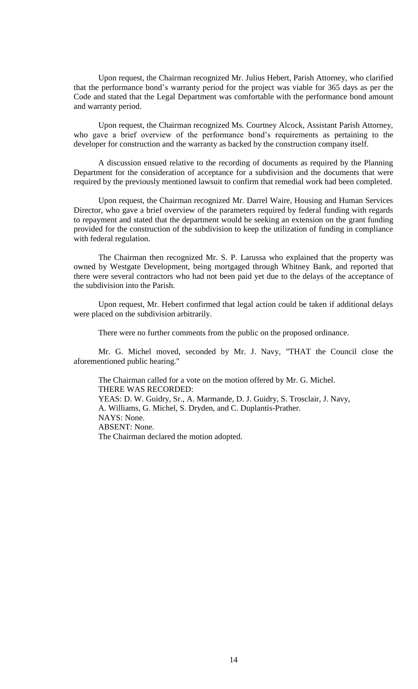Upon request, the Chairman recognized Mr. Julius Hebert, Parish Attorney, who clarified that the performance bond's warranty period for the project was viable for 365 days as per the Code and stated that the Legal Department was comfortable with the performance bond amount and warranty period.

Upon request, the Chairman recognized Ms. Courtney Alcock, Assistant Parish Attorney, who gave a brief overview of the performance bond's requirements as pertaining to the developer for construction and the warranty as backed by the construction company itself.

A discussion ensued relative to the recording of documents as required by the Planning Department for the consideration of acceptance for a subdivision and the documents that were required by the previously mentioned lawsuit to confirm that remedial work had been completed.

Upon request, the Chairman recognized Mr. Darrel Waire, Housing and Human Services Director, who gave a brief overview of the parameters required by federal funding with regards to repayment and stated that the department would be seeking an extension on the grant funding provided for the construction of the subdivision to keep the utilization of funding in compliance with federal regulation.

The Chairman then recognized Mr. S. P. Larussa who explained that the property was owned by Westgate Development, being mortgaged through Whitney Bank, and reported that there were several contractors who had not been paid yet due to the delays of the acceptance of the subdivision into the Parish.

Upon request, Mr. Hebert confirmed that legal action could be taken if additional delays were placed on the subdivision arbitrarily.

There were no further comments from the public on the proposed ordinance.

Mr. G. Michel moved, seconded by Mr. J. Navy, "THAT the Council close the aforementioned public hearing."

The Chairman called for a vote on the motion offered by Mr. G. Michel. THERE WAS RECORDED: YEAS: D. W. Guidry, Sr., A. Marmande, D. J. Guidry, S. Trosclair, J. Navy, A. Williams, G. Michel, S. Dryden, and C. Duplantis-Prather. NAYS: None. ABSENT: None. The Chairman declared the motion adopted.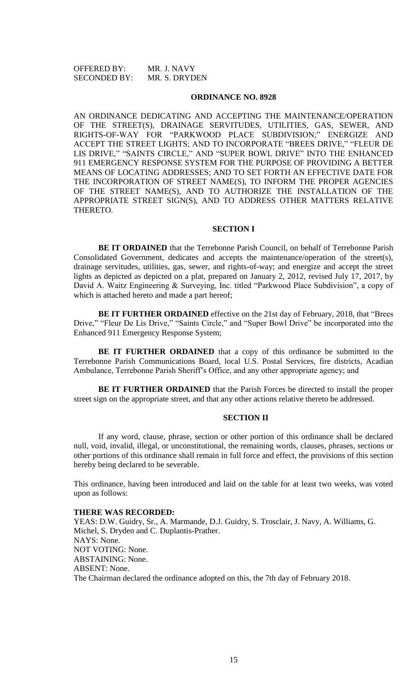OFFERED BY: MR. J. NAVY SECONDED BY: MR. S. DRYDEN

#### **ORDINANCE NO. 8928**

AN ORDINANCE DEDICATING AND ACCEPTING THE MAINTENANCE/OPERATION OF THE STREET(S), DRAINAGE SERVITUDES, UTILITIES, GAS, SEWER, AND RIGHTS-OF-WAY FOR "PARKWOOD PLACE SUBDIVISION;" ENERGIZE AND ACCEPT THE STREET LIGHTS; AND TO INCORPORATE "BREES DRIVE," "FLEUR DE LIS DRIVE," "SAINTS CIRCLE," AND "SUPER BOWL DRIVE" INTO THE ENHANCED 911 EMERGENCY RESPONSE SYSTEM FOR THE PURPOSE OF PROVIDING A BETTER MEANS OF LOCATING ADDRESSES; AND TO SET FORTH AN EFFECTIVE DATE FOR THE INCORPORATION OF STREET NAME(S), TO INFORM THE PROPER AGENCIES OF THE STREET NAME(S), AND TO AUTHORIZE THE INSTALLATION OF THE APPROPRIATE STREET SIGN(S), AND TO ADDRESS OTHER MATTERS RELATIVE THERETO.

### **SECTION I**

**BE IT ORDAINED** that the Terrebonne Parish Council, on behalf of Terrebonne Parish Consolidated Government, dedicates and accepts the maintenance/operation of the street(s), drainage servitudes, utilities, gas, sewer, and rights-of-way; and energize and accept the street lights as depicted as depicted on a plat, prepared on January 2, 2012, revised July 17, 2017, by David A. Waitz Engineering & Surveying, Inc. titled "Parkwood Place Subdivision", a copy of which is attached hereto and made a part hereof;

**BE IT FURTHER ORDAINED** effective on the 21st day of February, 2018, that "Brees Drive," "Fleur De Lis Drive," "Saints Circle," and "Super Bowl Drive" be incorporated into the Enhanced 911 Emergency Response System;

**BE IT FURTHER ORDAINED** that a copy of this ordinance be submitted to the Terrebonne Parish Communications Board, local U.S. Postal Services, fire districts, Acadian Ambulance, Terrebonne Parish Sheriff's Office, and any other appropriate agency; and

**BE IT FURTHER ORDAINED** that the Parish Forces be directed to install the proper street sign on the appropriate street, and that any other actions relative thereto be addressed.

# **SECTION II**

If any word, clause, phrase, section or other portion of this ordinance shall be declared null, void, invalid, illegal, or unconstitutional, the remaining words, clauses, phrases, sections or other portions of this ordinance shall remain in full force and effect, the provisions of this section hereby being declared to be severable.

This ordinance, having been introduced and laid on the table for at least two weeks, was voted upon as follows:

#### **THERE WAS RECORDED:**

YEAS: D.W. Guidry, Sr., A. Marmande, D.J. Guidry, S. Trosclair, J. Navy, A. Williams, G. Michel, S. Dryden and C. Duplantis-Prather. NAYS: None. NOT VOTING: None. ABSTAINING: None. ABSENT: None. The Chairman declared the ordinance adopted on this, the 7th day of February 2018.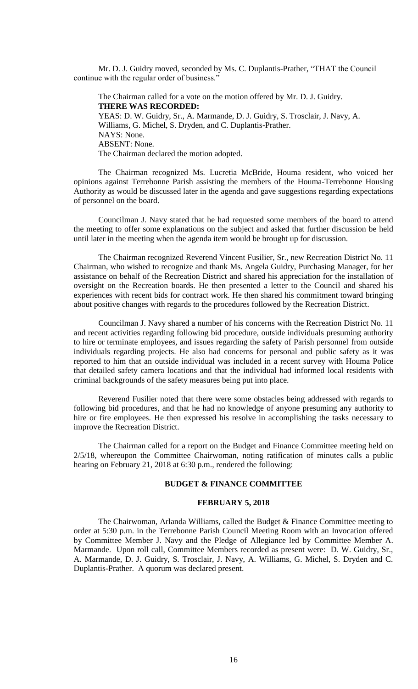Mr. D. J. Guidry moved, seconded by Ms. C. Duplantis-Prather, "THAT the Council continue with the regular order of business."

The Chairman called for a vote on the motion offered by Mr. D. J. Guidry. **THERE WAS RECORDED:** YEAS: D. W. Guidry, Sr., A. Marmande, D. J. Guidry, S. Trosclair, J. Navy, A. Williams, G. Michel, S. Dryden, and C. Duplantis-Prather. NAYS: None. ABSENT: None. The Chairman declared the motion adopted.

The Chairman recognized Ms. Lucretia McBride, Houma resident, who voiced her opinions against Terrebonne Parish assisting the members of the Houma-Terrebonne Housing Authority as would be discussed later in the agenda and gave suggestions regarding expectations of personnel on the board.

Councilman J. Navy stated that he had requested some members of the board to attend the meeting to offer some explanations on the subject and asked that further discussion be held until later in the meeting when the agenda item would be brought up for discussion.

The Chairman recognized Reverend Vincent Fusilier, Sr., new Recreation District No. 11 Chairman, who wished to recognize and thank Ms. Angela Guidry, Purchasing Manager, for her assistance on behalf of the Recreation District and shared his appreciation for the installation of oversight on the Recreation boards. He then presented a letter to the Council and shared his experiences with recent bids for contract work. He then shared his commitment toward bringing about positive changes with regards to the procedures followed by the Recreation District.

Councilman J. Navy shared a number of his concerns with the Recreation District No. 11 and recent activities regarding following bid procedure, outside individuals presuming authority to hire or terminate employees, and issues regarding the safety of Parish personnel from outside individuals regarding projects. He also had concerns for personal and public safety as it was reported to him that an outside individual was included in a recent survey with Houma Police that detailed safety camera locations and that the individual had informed local residents with criminal backgrounds of the safety measures being put into place.

Reverend Fusilier noted that there were some obstacles being addressed with regards to following bid procedures, and that he had no knowledge of anyone presuming any authority to hire or fire employees. He then expressed his resolve in accomplishing the tasks necessary to improve the Recreation District.

The Chairman called for a report on the Budget and Finance Committee meeting held on 2/5/18, whereupon the Committee Chairwoman, noting ratification of minutes calls a public hearing on February 21, 2018 at 6:30 p.m., rendered the following:

### **BUDGET & FINANCE COMMITTEE**

### **FEBRUARY 5, 2018**

The Chairwoman, Arlanda Williams, called the Budget & Finance Committee meeting to order at 5:30 p.m. in the Terrebonne Parish Council Meeting Room with an Invocation offered by Committee Member J. Navy and the Pledge of Allegiance led by Committee Member A. Marmande. Upon roll call, Committee Members recorded as present were: D. W. Guidry, Sr., A. Marmande, D. J. Guidry, S. Trosclair, J. Navy, A. Williams, G. Michel, S. Dryden and C. Duplantis-Prather. A quorum was declared present.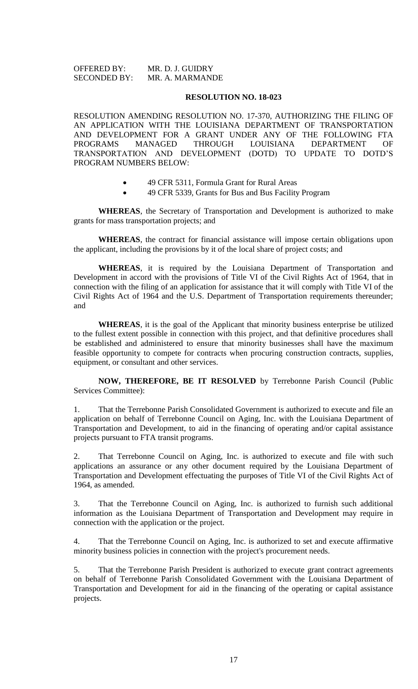OFFERED BY: MR. D. J. GUIDRY SECONDED BY: MR. A. MARMANDE

### **RESOLUTION NO. 18-023**

RESOLUTION AMENDING RESOLUTION NO. 17-370, AUTHORIZING THE FILING OF AN APPLICATION WITH THE LOUISIANA DEPARTMENT OF TRANSPORTATION AND DEVELOPMENT FOR A GRANT UNDER ANY OF THE FOLLOWING FTA PROGRAMS MANAGED THROUGH LOUISIANA DEPARTMENT OF TRANSPORTATION AND DEVELOPMENT (DOTD) TO UPDATE TO DOTD'S PROGRAM NUMBERS BELOW:

- 49 CFR 5311, Formula Grant for Rural Areas
- 49 CFR 5339, Grants for Bus and Bus Facility Program

**WHEREAS**, the Secretary of Transportation and Development is authorized to make grants for mass transportation projects; and

**WHEREAS**, the contract for financial assistance will impose certain obligations upon the applicant, including the provisions by it of the local share of project costs; and

**WHEREAS**, it is required by the Louisiana Department of Transportation and Development in accord with the provisions of Title VI of the Civil Rights Act of 1964, that in connection with the filing of an application for assistance that it will comply with Title VI of the Civil Rights Act of 1964 and the U.S. Department of Transportation requirements thereunder; and

**WHEREAS**, it is the goal of the Applicant that minority business enterprise be utilized to the fullest extent possible in connection with this project, and that definitive procedures shall be established and administered to ensure that minority businesses shall have the maximum feasible opportunity to compete for contracts when procuring construction contracts, supplies, equipment, or consultant and other services.

**NOW, THEREFORE, BE IT RESOLVED** by Terrebonne Parish Council (Public Services Committee):

1. That the Terrebonne Parish Consolidated Government is authorized to execute and file an application on behalf of Terrebonne Council on Aging, Inc. with the Louisiana Department of Transportation and Development, to aid in the financing of operating and/or capital assistance projects pursuant to FTA transit programs.

2. That Terrebonne Council on Aging, Inc. is authorized to execute and file with such applications an assurance or any other document required by the Louisiana Department of Transportation and Development effectuating the purposes of Title VI of the Civil Rights Act of 1964, as amended.

3. That the Terrebonne Council on Aging, Inc. is authorized to furnish such additional information as the Louisiana Department of Transportation and Development may require in connection with the application or the project.

4. That the Terrebonne Council on Aging, Inc. is authorized to set and execute affirmative minority business policies in connection with the project's procurement needs.

5. That the Terrebonne Parish President is authorized to execute grant contract agreements on behalf of Terrebonne Parish Consolidated Government with the Louisiana Department of Transportation and Development for aid in the financing of the operating or capital assistance projects.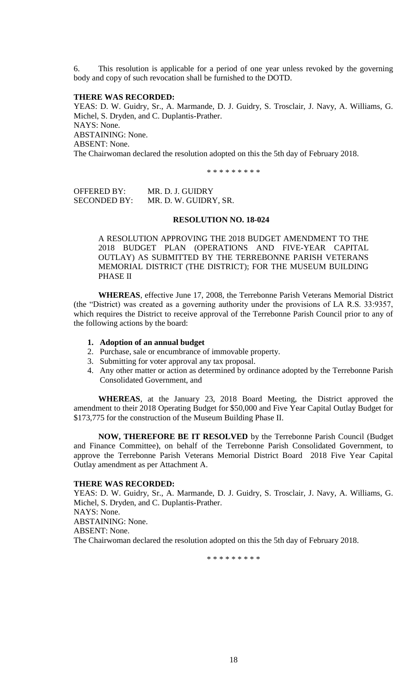6. This resolution is applicable for a period of one year unless revoked by the governing body and copy of such revocation shall be furnished to the DOTD.

# **THERE WAS RECORDED:**

YEAS: D. W. Guidry, Sr., A. Marmande, D. J. Guidry, S. Trosclair, J. Navy, A. Williams, G. Michel, S. Dryden, and C. Duplantis-Prather. NAYS: None. ABSTAINING: None. ABSENT: None. The Chairwoman declared the resolution adopted on this the 5th day of February 2018.

\* \* \* \* \* \* \* \*

| <b>OFFERED BY:</b>  | MR. D. J. GUIDRY      |
|---------------------|-----------------------|
| <b>SECONDED BY:</b> | MR. D. W. GUIDRY, SR. |

#### **RESOLUTION NO. 18-024**

A RESOLUTION APPROVING THE 2018 BUDGET AMENDMENT TO THE 2018 BUDGET PLAN (OPERATIONS AND FIVE-YEAR CAPITAL OUTLAY) AS SUBMITTED BY THE TERREBONNE PARISH VETERANS MEMORIAL DISTRICT (THE DISTRICT); FOR THE MUSEUM BUILDING PHASE II

**WHEREAS**, effective June 17, 2008, the Terrebonne Parish Veterans Memorial District (the "District) was created as a governing authority under the provisions of LA R.S. 33:9357, which requires the District to receive approval of the Terrebonne Parish Council prior to any of the following actions by the board:

- **1. Adoption of an annual budget**
- 2. Purchase, sale or encumbrance of immovable property.
- 3. Submitting for voter approval any tax proposal.
- 4. Any other matter or action as determined by ordinance adopted by the Terrebonne Parish Consolidated Government, and

**WHEREAS**, at the January 23, 2018 Board Meeting, the District approved the amendment to their 2018 Operating Budget for \$50,000 and Five Year Capital Outlay Budget for \$173,775 for the construction of the Museum Building Phase II.

**NOW, THEREFORE BE IT RESOLVED** by the Terrebonne Parish Council (Budget and Finance Committee), on behalf of the Terrebonne Parish Consolidated Government, to approve the Terrebonne Parish Veterans Memorial District Board 2018 Five Year Capital Outlay amendment as per Attachment A.

# **THERE WAS RECORDED:**

YEAS: D. W. Guidry, Sr., A. Marmande, D. J. Guidry, S. Trosclair, J. Navy, A. Williams, G. Michel, S. Dryden, and C. Duplantis-Prather. NAYS: None. ABSTAINING: None. ABSENT: None. The Chairwoman declared the resolution adopted on this the 5th day of February 2018.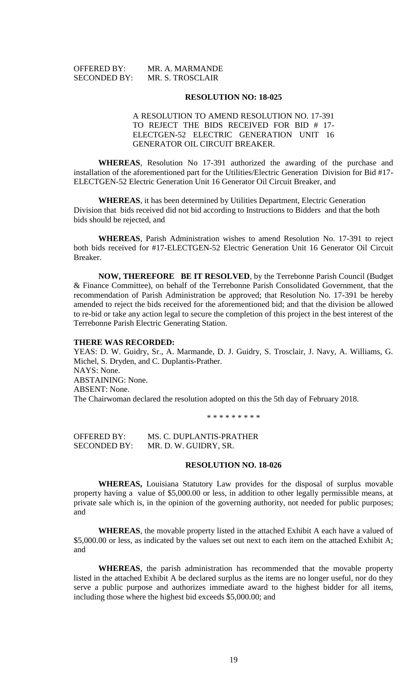| <b>OFFERED BY:</b>  | MR. A. MARMANDE  |
|---------------------|------------------|
| <b>SECONDED BY:</b> | MR. S. TROSCLAIR |

#### **RESOLUTION NO: 18-025**

# A RESOLUTION TO AMEND RESOLUTION NO. 17-391 TO REJECT THE BIDS RECEIVED FOR BID # 17- ELECTGEN-52 ELECTRIC GENERATION UNIT 16 GENERATOR OIL CIRCUIT BREAKER.

**WHEREAS**, Resolution No 17-391 authorized the awarding of the purchase and installation of the aforementioned part for the Utilities/Electric Generation Division for Bid #17- ELECTGEN-52 Electric Generation Unit 16 Generator Oil Circuit Breaker, and

**WHEREAS**, it has been determined by Utilities Department, Electric Generation Division that bids received did not bid according to Instructions to Bidders and that the both bids should be rejected, and

**WHEREAS**, Parish Administration wishes to amend Resolution No. 17-391 to reject both bids received for #17-ELECTGEN-52 Electric Generation Unit 16 Generator Oil Circuit Breaker.

**NOW, THEREFORE BE IT RESOLVED**, by the Terrebonne Parish Council (Budget & Finance Committee), on behalf of the Terrebonne Parish Consolidated Government, that the recommendation of Parish Administration be approved; that Resolution No. 17-391 be hereby amended to reject the bids received for the aforementioned bid; and that the division be allowed to re-bid or take any action legal to secure the completion of this project in the best interest of the Terrebonne Parish Electric Generating Station.

#### **THERE WAS RECORDED:**

YEAS: D. W. Guidry, Sr., A. Marmande, D. J. Guidry, S. Trosclair, J. Navy, A. Williams, G. Michel, S. Dryden, and C. Duplantis-Prather. NAYS: None. ABSTAINING: None. ABSENT: None. The Chairwoman declared the resolution adopted on this the 5th day of February 2018.

\* \* \* \* \* \* \* \* \*

OFFERED BY: MS. C. DUPLANTIS-PRATHER SECONDED BY: MR. D. W. GUIDRY, SR.

#### **RESOLUTION NO. 18-026**

**WHEREAS,** Louisiana Statutory Law provides for the disposal of surplus movable property having a value of \$5,000.00 or less, in addition to other legally permissible means, at private sale which is, in the opinion of the governing authority, not needed for public purposes; and

**WHEREAS**, the movable property listed in the attached Exhibit A each have a valued of \$5,000.00 or less, as indicated by the values set out next to each item on the attached Exhibit A; and

**WHEREAS**, the parish administration has recommended that the movable property listed in the attached Exhibit A be declared surplus as the items are no longer useful, nor do they serve a public purpose and authorizes immediate award to the highest bidder for all items, including those where the highest bid exceeds \$5,000.00; and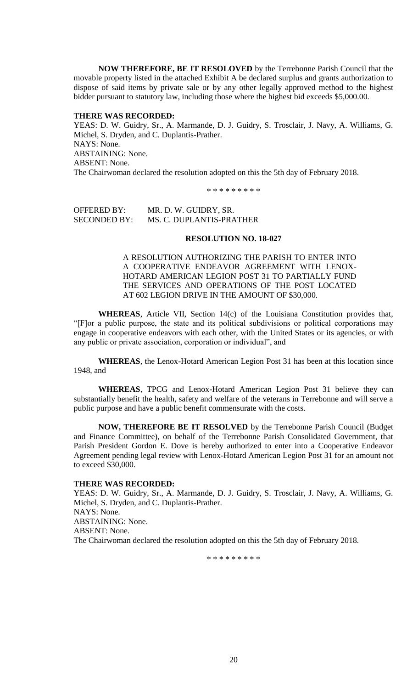**NOW THEREFORE, BE IT RESOLOVED** by the Terrebonne Parish Council that the movable property listed in the attached Exhibit A be declared surplus and grants authorization to dispose of said items by private sale or by any other legally approved method to the highest bidder pursuant to statutory law, including those where the highest bid exceeds \$5,000.00.

### **THERE WAS RECORDED:**

YEAS: D. W. Guidry, Sr., A. Marmande, D. J. Guidry, S. Trosclair, J. Navy, A. Williams, G. Michel, S. Dryden, and C. Duplantis-Prather. NAYS: None. ABSTAINING: None. ABSENT: None. The Chairwoman declared the resolution adopted on this the 5th day of February 2018.

\* \* \* \* \* \* \* \* \*

OFFERED BY: MR. D. W. GUIDRY, SR. SECONDED BY: MS. C. DUPLANTIS-PRATHER

#### **RESOLUTION NO. 18-027**

A RESOLUTION AUTHORIZING THE PARISH TO ENTER INTO A COOPERATIVE ENDEAVOR AGREEMENT WITH LENOX-HOTARD AMERICAN LEGION POST 31 TO PARTIALLY FUND THE SERVICES AND OPERATIONS OF THE POST LOCATED AT 602 LEGION DRIVE IN THE AMOUNT OF \$30,000.

**WHEREAS**, Article VII, Section 14(c) of the Louisiana Constitution provides that, "[F]or a public purpose, the state and its political subdivisions or political corporations may engage in cooperative endeavors with each other, with the United States or its agencies, or with any public or private association, corporation or individual", and

**WHEREAS**, the Lenox-Hotard American Legion Post 31 has been at this location since 1948, and

**WHEREAS**, TPCG and Lenox-Hotard American Legion Post 31 believe they can substantially benefit the health, safety and welfare of the veterans in Terrebonne and will serve a public purpose and have a public benefit commensurate with the costs.

**NOW, THEREFORE BE IT RESOLVED** by the Terrebonne Parish Council (Budget and Finance Committee), on behalf of the Terrebonne Parish Consolidated Government, that Parish President Gordon E. Dove is hereby authorized to enter into a Cooperative Endeavor Agreement pending legal review with Lenox-Hotard American Legion Post 31 for an amount not to exceed \$30,000.

### **THERE WAS RECORDED:**

YEAS: D. W. Guidry, Sr., A. Marmande, D. J. Guidry, S. Trosclair, J. Navy, A. Williams, G. Michel, S. Dryden, and C. Duplantis-Prather. NAYS: None. ABSTAINING: None. ABSENT: None. The Chairwoman declared the resolution adopted on this the 5th day of February 2018.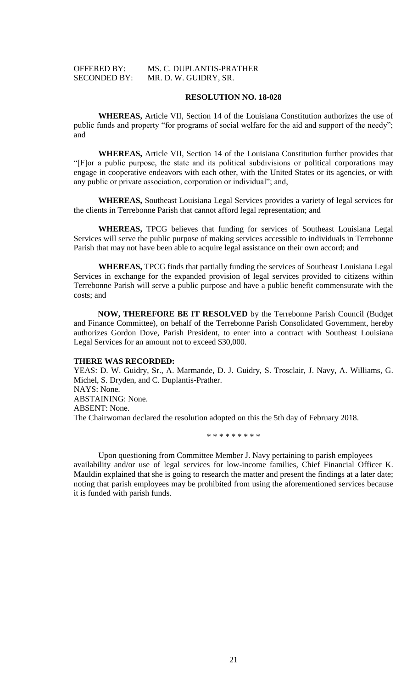# OFFERED BY: MS. C. DUPLANTIS-PRATHER SECONDED BY: MR. D. W. GUIDRY, SR.

# **RESOLUTION NO. 18-028**

**WHEREAS,** Article VII, Section 14 of the Louisiana Constitution authorizes the use of public funds and property "for programs of social welfare for the aid and support of the needy"; and

**WHEREAS,** Article VII, Section 14 of the Louisiana Constitution further provides that "[F]or a public purpose, the state and its political subdivisions or political corporations may engage in cooperative endeavors with each other, with the United States or its agencies, or with any public or private association, corporation or individual"; and,

**WHEREAS,** Southeast Louisiana Legal Services provides a variety of legal services for the clients in Terrebonne Parish that cannot afford legal representation; and

**WHEREAS,** TPCG believes that funding for services of Southeast Louisiana Legal Services will serve the public purpose of making services accessible to individuals in Terrebonne Parish that may not have been able to acquire legal assistance on their own accord; and

**WHEREAS,** TPCG finds that partially funding the services of Southeast Louisiana Legal Services in exchange for the expanded provision of legal services provided to citizens within Terrebonne Parish will serve a public purpose and have a public benefit commensurate with the costs; and

**NOW, THEREFORE BE IT RESOLVED** by the Terrebonne Parish Council (Budget and Finance Committee), on behalf of the Terrebonne Parish Consolidated Government, hereby authorizes Gordon Dove, Parish President, to enter into a contract with Southeast Louisiana Legal Services for an amount not to exceed \$30,000.

#### **THERE WAS RECORDED:**

YEAS: D. W. Guidry, Sr., A. Marmande, D. J. Guidry, S. Trosclair, J. Navy, A. Williams, G. Michel, S. Dryden, and C. Duplantis-Prather. NAYS: None. ABSTAINING: None. ABSENT: None. The Chairwoman declared the resolution adopted on this the 5th day of February 2018.

\* \* \* \* \* \* \* \* \*

Upon questioning from Committee Member J. Navy pertaining to parish employees availability and/or use of legal services for low-income families, Chief Financial Officer K. Mauldin explained that she is going to research the matter and present the findings at a later date; noting that parish employees may be prohibited from using the aforementioned services because it is funded with parish funds.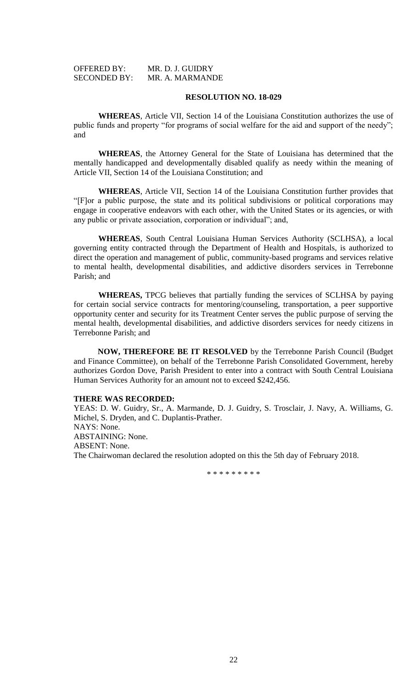| <b>OFFERED BY:</b>  | MR. D. J. GUIDRY |
|---------------------|------------------|
| <b>SECONDED BY:</b> | MR. A. MARMANDE  |

#### **RESOLUTION NO. 18-029**

**WHEREAS**, Article VII, Section 14 of the Louisiana Constitution authorizes the use of public funds and property "for programs of social welfare for the aid and support of the needy"; and

**WHEREAS**, the Attorney General for the State of Louisiana has determined that the mentally handicapped and developmentally disabled qualify as needy within the meaning of Article VII, Section 14 of the Louisiana Constitution; and

**WHEREAS**, Article VII, Section 14 of the Louisiana Constitution further provides that "[F]or a public purpose, the state and its political subdivisions or political corporations may engage in cooperative endeavors with each other, with the United States or its agencies, or with any public or private association, corporation or individual"; and,

**WHEREAS**, South Central Louisiana Human Services Authority (SCLHSA), a local governing entity contracted through the Department of Health and Hospitals, is authorized to direct the operation and management of public, community-based programs and services relative to mental health, developmental disabilities, and addictive disorders services in Terrebonne Parish; and

**WHEREAS,** TPCG believes that partially funding the services of SCLHSA by paying for certain social service contracts for mentoring/counseling, transportation, a peer supportive opportunity center and security for its Treatment Center serves the public purpose of serving the mental health, developmental disabilities, and addictive disorders services for needy citizens in Terrebonne Parish; and

**NOW, THEREFORE BE IT RESOLVED** by the Terrebonne Parish Council (Budget and Finance Committee), on behalf of the Terrebonne Parish Consolidated Government, hereby authorizes Gordon Dove, Parish President to enter into a contract with South Central Louisiana Human Services Authority for an amount not to exceed \$242,456.

# **THERE WAS RECORDED:**

YEAS: D. W. Guidry, Sr., A. Marmande, D. J. Guidry, S. Trosclair, J. Navy, A. Williams, G. Michel, S. Dryden, and C. Duplantis-Prather. NAYS: None. ABSTAINING: None. ABSENT: None. The Chairwoman declared the resolution adopted on this the 5th day of February 2018.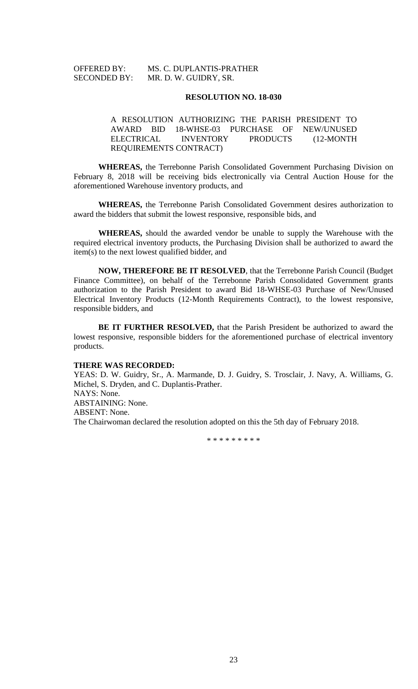# OFFERED BY: MS. C. DUPLANTIS-PRATHER SECONDED BY: MR. D. W. GUIDRY, SR.

#### **RESOLUTION NO. 18-030**

# A RESOLUTION AUTHORIZING THE PARISH PRESIDENT TO AWARD BID 18-WHSE-03 PURCHASE OF NEW/UNUSED ELECTRICAL INVENTORY PRODUCTS (12-MONTH REQUIREMENTS CONTRACT)

**WHEREAS,** the Terrebonne Parish Consolidated Government Purchasing Division on February 8, 2018 will be receiving bids electronically via Central Auction House for the aforementioned Warehouse inventory products, and

**WHEREAS,** the Terrebonne Parish Consolidated Government desires authorization to award the bidders that submit the lowest responsive, responsible bids, and

**WHEREAS,** should the awarded vendor be unable to supply the Warehouse with the required electrical inventory products, the Purchasing Division shall be authorized to award the item(s) to the next lowest qualified bidder, and

**NOW, THEREFORE BE IT RESOLVED**, that the Terrebonne Parish Council (Budget Finance Committee), on behalf of the Terrebonne Parish Consolidated Government grants authorization to the Parish President to award Bid 18-WHSE-03 Purchase of New/Unused Electrical Inventory Products (12-Month Requirements Contract), to the lowest responsive, responsible bidders, and

**BE IT FURTHER RESOLVED,** that the Parish President be authorized to award the lowest responsive, responsible bidders for the aforementioned purchase of electrical inventory products.

#### **THERE WAS RECORDED:**

YEAS: D. W. Guidry, Sr., A. Marmande, D. J. Guidry, S. Trosclair, J. Navy, A. Williams, G. Michel, S. Dryden, and C. Duplantis-Prather. NAYS: None. ABSTAINING: None. ABSENT: None. The Chairwoman declared the resolution adopted on this the 5th day of February 2018.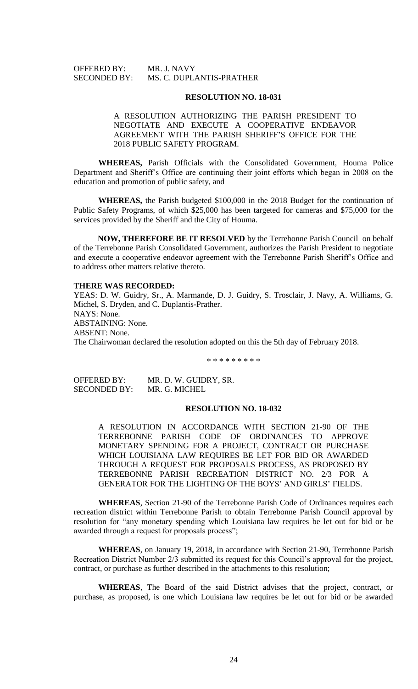OFFERED BY: MR. J. NAVY SECONDED BY: MS. C. DUPLANTIS-PRATHER

#### **RESOLUTION NO. 18-031**

A RESOLUTION AUTHORIZING THE PARISH PRESIDENT TO NEGOTIATE AND EXECUTE A COOPERATIVE ENDEAVOR AGREEMENT WITH THE PARISH SHERIFF'S OFFICE FOR THE 2018 PUBLIC SAFETY PROGRAM.

**WHEREAS,** Parish Officials with the Consolidated Government, Houma Police Department and Sheriff's Office are continuing their joint efforts which began in 2008 on the education and promotion of public safety, and

**WHEREAS,** the Parish budgeted \$100,000 in the 2018 Budget for the continuation of Public Safety Programs, of which \$25,000 has been targeted for cameras and \$75,000 for the services provided by the Sheriff and the City of Houma.

**NOW, THEREFORE BE IT RESOLVED** by the Terrebonne Parish Council on behalf of the Terrebonne Parish Consolidated Government, authorizes the Parish President to negotiate and execute a cooperative endeavor agreement with the Terrebonne Parish Sheriff's Office and to address other matters relative thereto.

# **THERE WAS RECORDED:**

YEAS: D. W. Guidry, Sr., A. Marmande, D. J. Guidry, S. Trosclair, J. Navy, A. Williams, G. Michel, S. Dryden, and C. Duplantis-Prather. NAYS: None. ABSTAINING: None. ABSENT: None. The Chairwoman declared the resolution adopted on this the 5th day of February 2018.

\* \* \* \* \* \* \* \* \*

OFFERED BY: MR. D. W. GUIDRY, SR. SECONDED BY: MR. G. MICHEL

# **RESOLUTION NO. 18-032**

A RESOLUTION IN ACCORDANCE WITH SECTION 21-90 OF THE TERREBONNE PARISH CODE OF ORDINANCES TO APPROVE MONETARY SPENDING FOR A PROJECT, CONTRACT OR PURCHASE WHICH LOUISIANA LAW REQUIRES BE LET FOR BID OR AWARDED THROUGH A REQUEST FOR PROPOSALS PROCESS, AS PROPOSED BY TERREBONNE PARISH RECREATION DISTRICT NO. 2/3 FOR A GENERATOR FOR THE LIGHTING OF THE BOYS' AND GIRLS' FIELDS.

**WHEREAS**, Section 21-90 of the Terrebonne Parish Code of Ordinances requires each recreation district within Terrebonne Parish to obtain Terrebonne Parish Council approval by resolution for "any monetary spending which Louisiana law requires be let out for bid or be awarded through a request for proposals process";

**WHEREAS**, on January 19, 2018, in accordance with Section 21-90, Terrebonne Parish Recreation District Number 2/3 submitted its request for this Council's approval for the project, contract, or purchase as further described in the attachments to this resolution;

**WHEREAS**, The Board of the said District advises that the project, contract, or purchase, as proposed, is one which Louisiana law requires be let out for bid or be awarded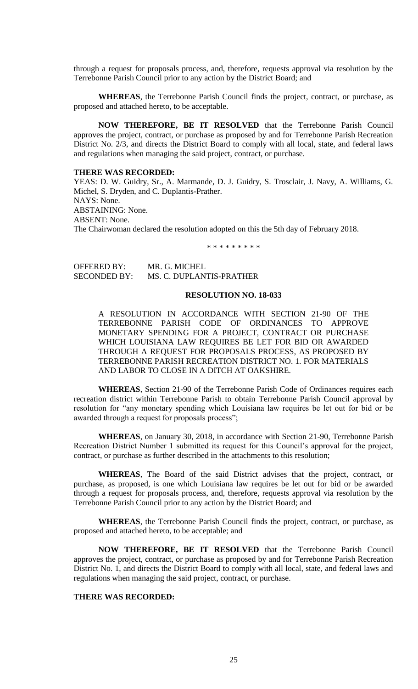through a request for proposals process, and, therefore, requests approval via resolution by the Terrebonne Parish Council prior to any action by the District Board; and

**WHEREAS**, the Terrebonne Parish Council finds the project, contract, or purchase, as proposed and attached hereto, to be acceptable.

**NOW THEREFORE, BE IT RESOLVED** that the Terrebonne Parish Council approves the project, contract, or purchase as proposed by and for Terrebonne Parish Recreation District No. 2/3, and directs the District Board to comply with all local, state, and federal laws and regulations when managing the said project, contract, or purchase.

### **THERE WAS RECORDED:**

YEAS: D. W. Guidry, Sr., A. Marmande, D. J. Guidry, S. Trosclair, J. Navy, A. Williams, G. Michel, S. Dryden, and C. Duplantis-Prather. NAYS: None. ABSTAINING: None. ABSENT: None. The Chairwoman declared the resolution adopted on this the 5th day of February 2018.

\* \* \* \* \* \* \* \* \*

OFFERED BY: MR. G. MICHEL SECONDED BY: MS. C. DUPLANTIS-PRATHER

# **RESOLUTION NO. 18-033**

A RESOLUTION IN ACCORDANCE WITH SECTION 21-90 OF THE TERREBONNE PARISH CODE OF ORDINANCES TO APPROVE MONETARY SPENDING FOR A PROJECT, CONTRACT OR PURCHASE WHICH LOUISIANA LAW REQUIRES BE LET FOR BID OR AWARDED THROUGH A REQUEST FOR PROPOSALS PROCESS, AS PROPOSED BY TERREBONNE PARISH RECREATION DISTRICT NO. 1. FOR MATERIALS AND LABOR TO CLOSE IN A DITCH AT OAKSHIRE.

**WHEREAS**, Section 21-90 of the Terrebonne Parish Code of Ordinances requires each recreation district within Terrebonne Parish to obtain Terrebonne Parish Council approval by resolution for "any monetary spending which Louisiana law requires be let out for bid or be awarded through a request for proposals process";

**WHEREAS**, on January 30, 2018, in accordance with Section 21-90, Terrebonne Parish Recreation District Number 1 submitted its request for this Council's approval for the project, contract, or purchase as further described in the attachments to this resolution;

**WHEREAS**, The Board of the said District advises that the project, contract, or purchase, as proposed, is one which Louisiana law requires be let out for bid or be awarded through a request for proposals process, and, therefore, requests approval via resolution by the Terrebonne Parish Council prior to any action by the District Board; and

**WHEREAS**, the Terrebonne Parish Council finds the project, contract, or purchase, as proposed and attached hereto, to be acceptable; and

**NOW THEREFORE, BE IT RESOLVED** that the Terrebonne Parish Council approves the project, contract, or purchase as proposed by and for Terrebonne Parish Recreation District No. 1, and directs the District Board to comply with all local, state, and federal laws and regulations when managing the said project, contract, or purchase.

# **THERE WAS RECORDED:**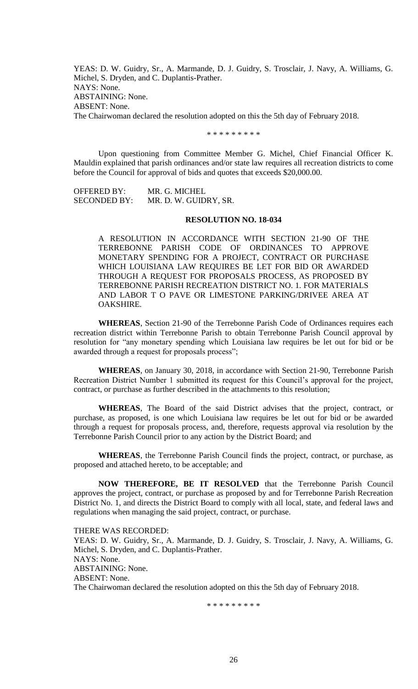YEAS: D. W. Guidry, Sr., A. Marmande, D. J. Guidry, S. Trosclair, J. Navy, A. Williams, G. Michel, S. Dryden, and C. Duplantis-Prather. NAYS: None. ABSTAINING: None. ABSENT: None. The Chairwoman declared the resolution adopted on this the 5th day of February 2018.

\* \* \* \* \* \* \* \* \*

Upon questioning from Committee Member G. Michel, Chief Financial Officer K. Mauldin explained that parish ordinances and/or state law requires all recreation districts to come before the Council for approval of bids and quotes that exceeds \$20,000.00.

OFFERED BY: MR. G. MICHEL SECONDED BY: MR. D. W. GUIDRY, SR.

#### **RESOLUTION NO. 18-034**

A RESOLUTION IN ACCORDANCE WITH SECTION 21-90 OF THE TERREBONNE PARISH CODE OF ORDINANCES TO APPROVE MONETARY SPENDING FOR A PROJECT, CONTRACT OR PURCHASE WHICH LOUISIANA LAW REQUIRES BE LET FOR BID OR AWARDED THROUGH A REQUEST FOR PROPOSALS PROCESS, AS PROPOSED BY TERREBONNE PARISH RECREATION DISTRICT NO. 1. FOR MATERIALS AND LABOR T O PAVE OR LIMESTONE PARKING/DRIVEE AREA AT OAKSHIRE.

**WHEREAS**, Section 21-90 of the Terrebonne Parish Code of Ordinances requires each recreation district within Terrebonne Parish to obtain Terrebonne Parish Council approval by resolution for "any monetary spending which Louisiana law requires be let out for bid or be awarded through a request for proposals process";

**WHEREAS**, on January 30, 2018, in accordance with Section 21-90, Terrebonne Parish Recreation District Number 1 submitted its request for this Council's approval for the project, contract, or purchase as further described in the attachments to this resolution;

**WHEREAS**, The Board of the said District advises that the project, contract, or purchase, as proposed, is one which Louisiana law requires be let out for bid or be awarded through a request for proposals process, and, therefore, requests approval via resolution by the Terrebonne Parish Council prior to any action by the District Board; and

**WHEREAS**, the Terrebonne Parish Council finds the project, contract, or purchase, as proposed and attached hereto, to be acceptable; and

**NOW THEREFORE, BE IT RESOLVED** that the Terrebonne Parish Council approves the project, contract, or purchase as proposed by and for Terrebonne Parish Recreation District No. 1, and directs the District Board to comply with all local, state, and federal laws and regulations when managing the said project, contract, or purchase.

THERE WAS RECORDED: YEAS: D. W. Guidry, Sr., A. Marmande, D. J. Guidry, S. Trosclair, J. Navy, A. Williams, G. Michel, S. Dryden, and C. Duplantis-Prather. NAYS: None. ABSTAINING: None. ABSENT: None. The Chairwoman declared the resolution adopted on this the 5th day of February 2018.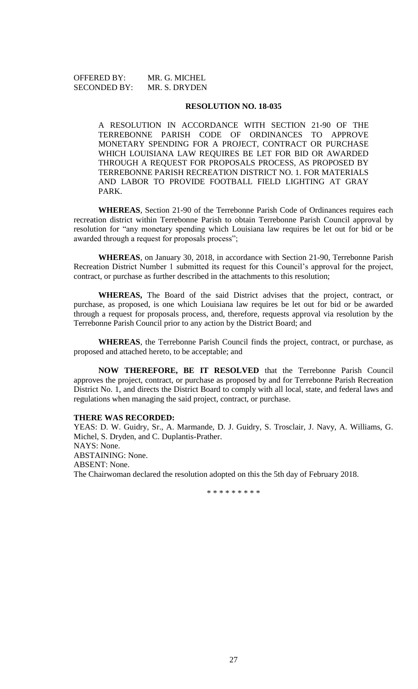| <b>OFFERED BY:</b>  | MR. G. MICHEL |
|---------------------|---------------|
| <b>SECONDED BY:</b> | MR. S. DRYDEN |

### **RESOLUTION NO. 18-035**

A RESOLUTION IN ACCORDANCE WITH SECTION 21-90 OF THE TERREBONNE PARISH CODE OF ORDINANCES TO APPROVE MONETARY SPENDING FOR A PROJECT, CONTRACT OR PURCHASE WHICH LOUISIANA LAW REQUIRES BE LET FOR BID OR AWARDED THROUGH A REQUEST FOR PROPOSALS PROCESS, AS PROPOSED BY TERREBONNE PARISH RECREATION DISTRICT NO. 1. FOR MATERIALS AND LABOR TO PROVIDE FOOTBALL FIELD LIGHTING AT GRAY PARK.

**WHEREAS**, Section 21-90 of the Terrebonne Parish Code of Ordinances requires each recreation district within Terrebonne Parish to obtain Terrebonne Parish Council approval by resolution for "any monetary spending which Louisiana law requires be let out for bid or be awarded through a request for proposals process";

**WHEREAS**, on January 30, 2018, in accordance with Section 21-90, Terrebonne Parish Recreation District Number 1 submitted its request for this Council's approval for the project, contract, or purchase as further described in the attachments to this resolution;

**WHEREAS,** The Board of the said District advises that the project, contract, or purchase, as proposed, is one which Louisiana law requires be let out for bid or be awarded through a request for proposals process, and, therefore, requests approval via resolution by the Terrebonne Parish Council prior to any action by the District Board; and

**WHEREAS**, the Terrebonne Parish Council finds the project, contract, or purchase, as proposed and attached hereto, to be acceptable; and

**NOW THEREFORE, BE IT RESOLVED** that the Terrebonne Parish Council approves the project, contract, or purchase as proposed by and for Terrebonne Parish Recreation District No. 1, and directs the District Board to comply with all local, state, and federal laws and regulations when managing the said project, contract, or purchase.

# **THERE WAS RECORDED:**

YEAS: D. W. Guidry, Sr., A. Marmande, D. J. Guidry, S. Trosclair, J. Navy, A. Williams, G. Michel, S. Dryden, and C. Duplantis-Prather. NAYS: None. ABSTAINING: None. ABSENT: None. The Chairwoman declared the resolution adopted on this the 5th day of February 2018.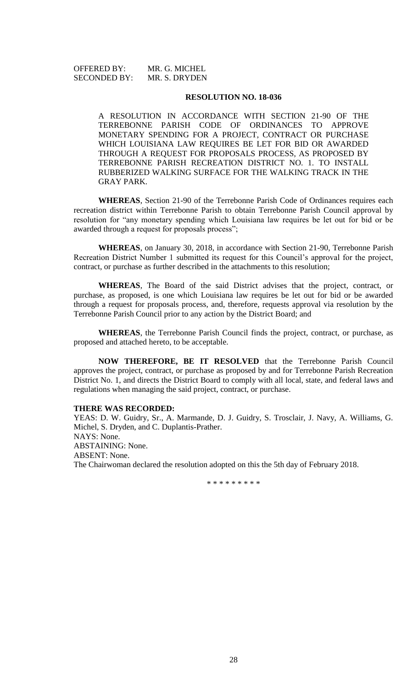# OFFERED BY: MR. G. MICHEL SECONDED BY: MR. S. DRYDEN

### **RESOLUTION NO. 18-036**

A RESOLUTION IN ACCORDANCE WITH SECTION 21-90 OF THE TERREBONNE PARISH CODE OF ORDINANCES TO APPROVE MONETARY SPENDING FOR A PROJECT, CONTRACT OR PURCHASE WHICH LOUISIANA LAW REQUIRES BE LET FOR BID OR AWARDED THROUGH A REQUEST FOR PROPOSALS PROCESS, AS PROPOSED BY TERREBONNE PARISH RECREATION DISTRICT NO. 1. TO INSTALL RUBBERIZED WALKING SURFACE FOR THE WALKING TRACK IN THE GRAY PARK.

**WHEREAS**, Section 21-90 of the Terrebonne Parish Code of Ordinances requires each recreation district within Terrebonne Parish to obtain Terrebonne Parish Council approval by resolution for "any monetary spending which Louisiana law requires be let out for bid or be awarded through a request for proposals process";

**WHEREAS**, on January 30, 2018, in accordance with Section 21-90, Terrebonne Parish Recreation District Number 1 submitted its request for this Council's approval for the project, contract, or purchase as further described in the attachments to this resolution;

**WHEREAS**, The Board of the said District advises that the project, contract, or purchase, as proposed, is one which Louisiana law requires be let out for bid or be awarded through a request for proposals process, and, therefore, requests approval via resolution by the Terrebonne Parish Council prior to any action by the District Board; and

**WHEREAS**, the Terrebonne Parish Council finds the project, contract, or purchase, as proposed and attached hereto, to be acceptable.

**NOW THEREFORE, BE IT RESOLVED** that the Terrebonne Parish Council approves the project, contract, or purchase as proposed by and for Terrebonne Parish Recreation District No. 1, and directs the District Board to comply with all local, state, and federal laws and regulations when managing the said project, contract, or purchase.

#### **THERE WAS RECORDED:**

YEAS: D. W. Guidry, Sr., A. Marmande, D. J. Guidry, S. Trosclair, J. Navy, A. Williams, G. Michel, S. Dryden, and C. Duplantis-Prather. NAYS: None. ABSTAINING: None. ABSENT: None. The Chairwoman declared the resolution adopted on this the 5th day of February 2018.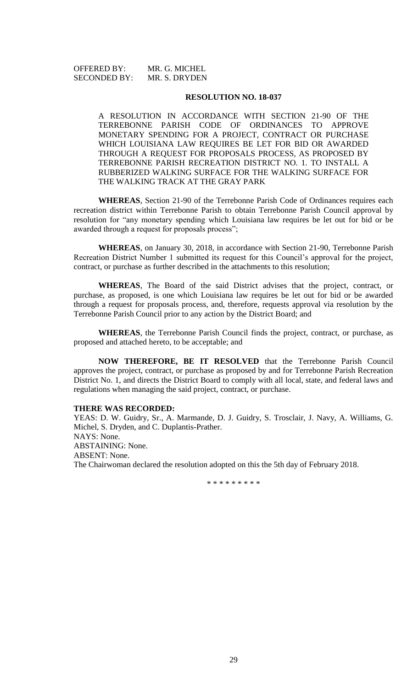# OFFERED BY: MR. G. MICHEL SECONDED BY: MR. S. DRYDEN

### **RESOLUTION NO. 18-037**

A RESOLUTION IN ACCORDANCE WITH SECTION 21-90 OF THE TERREBONNE PARISH CODE OF ORDINANCES TO APPROVE MONETARY SPENDING FOR A PROJECT, CONTRACT OR PURCHASE WHICH LOUISIANA LAW REQUIRES BE LET FOR BID OR AWARDED THROUGH A REQUEST FOR PROPOSALS PROCESS, AS PROPOSED BY TERREBONNE PARISH RECREATION DISTRICT NO. 1. TO INSTALL A RUBBERIZED WALKING SURFACE FOR THE WALKING SURFACE FOR THE WALKING TRACK AT THE GRAY PARK

**WHEREAS**, Section 21-90 of the Terrebonne Parish Code of Ordinances requires each recreation district within Terrebonne Parish to obtain Terrebonne Parish Council approval by resolution for "any monetary spending which Louisiana law requires be let out for bid or be awarded through a request for proposals process";

**WHEREAS**, on January 30, 2018, in accordance with Section 21-90, Terrebonne Parish Recreation District Number 1 submitted its request for this Council's approval for the project, contract, or purchase as further described in the attachments to this resolution;

**WHEREAS**, The Board of the said District advises that the project, contract, or purchase, as proposed, is one which Louisiana law requires be let out for bid or be awarded through a request for proposals process, and, therefore, requests approval via resolution by the Terrebonne Parish Council prior to any action by the District Board; and

**WHEREAS**, the Terrebonne Parish Council finds the project, contract, or purchase, as proposed and attached hereto, to be acceptable; and

**NOW THEREFORE, BE IT RESOLVED** that the Terrebonne Parish Council approves the project, contract, or purchase as proposed by and for Terrebonne Parish Recreation District No. 1, and directs the District Board to comply with all local, state, and federal laws and regulations when managing the said project, contract, or purchase.

#### **THERE WAS RECORDED:**

YEAS: D. W. Guidry, Sr., A. Marmande, D. J. Guidry, S. Trosclair, J. Navy, A. Williams, G. Michel, S. Dryden, and C. Duplantis-Prather. NAYS: None. ABSTAINING: None. ABSENT: None. The Chairwoman declared the resolution adopted on this the 5th day of February 2018.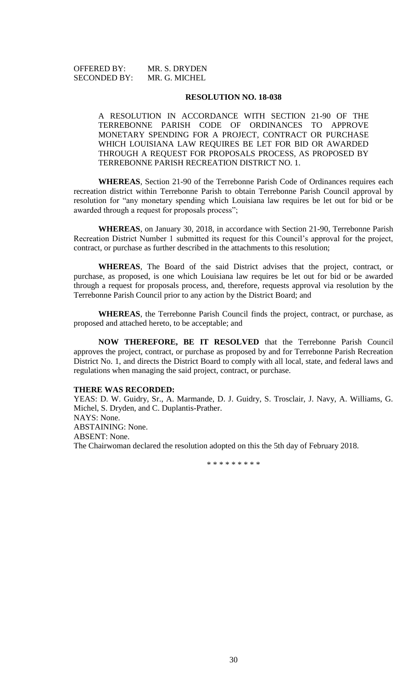OFFERED BY: MR. S. DRYDEN SECONDED BY: MR. G. MICHEL

#### **RESOLUTION NO. 18-038**

A RESOLUTION IN ACCORDANCE WITH SECTION 21-90 OF THE TERREBONNE PARISH CODE OF ORDINANCES TO APPROVE MONETARY SPENDING FOR A PROJECT, CONTRACT OR PURCHASE WHICH LOUISIANA LAW REQUIRES BE LET FOR BID OR AWARDED THROUGH A REQUEST FOR PROPOSALS PROCESS, AS PROPOSED BY TERREBONNE PARISH RECREATION DISTRICT NO. 1.

**WHEREAS**, Section 21-90 of the Terrebonne Parish Code of Ordinances requires each recreation district within Terrebonne Parish to obtain Terrebonne Parish Council approval by resolution for "any monetary spending which Louisiana law requires be let out for bid or be awarded through a request for proposals process";

**WHEREAS**, on January 30, 2018, in accordance with Section 21-90, Terrebonne Parish Recreation District Number 1 submitted its request for this Council's approval for the project, contract, or purchase as further described in the attachments to this resolution;

**WHEREAS**, The Board of the said District advises that the project, contract, or purchase, as proposed, is one which Louisiana law requires be let out for bid or be awarded through a request for proposals process, and, therefore, requests approval via resolution by the Terrebonne Parish Council prior to any action by the District Board; and

**WHEREAS**, the Terrebonne Parish Council finds the project, contract, or purchase, as proposed and attached hereto, to be acceptable; and

**NOW THEREFORE, BE IT RESOLVED** that the Terrebonne Parish Council approves the project, contract, or purchase as proposed by and for Terrebonne Parish Recreation District No. 1, and directs the District Board to comply with all local, state, and federal laws and regulations when managing the said project, contract, or purchase.

# **THERE WAS RECORDED:**

YEAS: D. W. Guidry, Sr., A. Marmande, D. J. Guidry, S. Trosclair, J. Navy, A. Williams, G. Michel, S. Dryden, and C. Duplantis-Prather. NAYS: None. ABSTAINING: None. ABSENT: None. The Chairwoman declared the resolution adopted on this the 5th day of February 2018.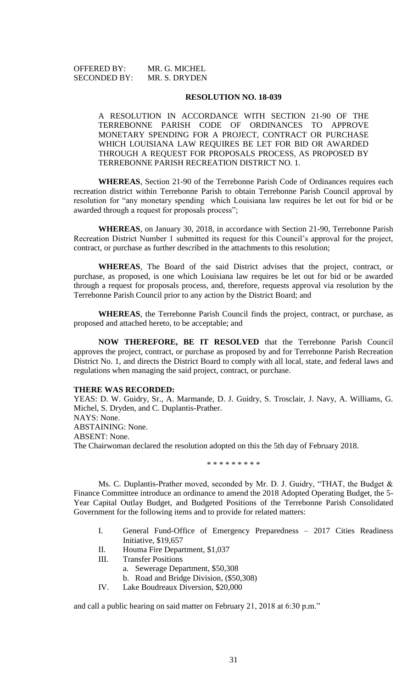OFFERED BY: MR. G. MICHEL SECONDED BY: MR. S. DRYDEN

#### **RESOLUTION NO. 18-039**

A RESOLUTION IN ACCORDANCE WITH SECTION 21-90 OF THE TERREBONNE PARISH CODE OF ORDINANCES TO APPROVE MONETARY SPENDING FOR A PROJECT, CONTRACT OR PURCHASE WHICH LOUISIANA LAW REQUIRES BE LET FOR BID OR AWARDED THROUGH A REQUEST FOR PROPOSALS PROCESS, AS PROPOSED BY TERREBONNE PARISH RECREATION DISTRICT NO. 1.

**WHEREAS**, Section 21-90 of the Terrebonne Parish Code of Ordinances requires each recreation district within Terrebonne Parish to obtain Terrebonne Parish Council approval by resolution for "any monetary spending which Louisiana law requires be let out for bid or be awarded through a request for proposals process";

**WHEREAS**, on January 30, 2018, in accordance with Section 21-90, Terrebonne Parish Recreation District Number 1 submitted its request for this Council's approval for the project, contract, or purchase as further described in the attachments to this resolution;

**WHEREAS**, The Board of the said District advises that the project, contract, or purchase, as proposed, is one which Louisiana law requires be let out for bid or be awarded through a request for proposals process, and, therefore, requests approval via resolution by the Terrebonne Parish Council prior to any action by the District Board; and

**WHEREAS**, the Terrebonne Parish Council finds the project, contract, or purchase, as proposed and attached hereto, to be acceptable; and

**NOW THEREFORE, BE IT RESOLVED** that the Terrebonne Parish Council approves the project, contract, or purchase as proposed by and for Terrebonne Parish Recreation District No. 1, and directs the District Board to comply with all local, state, and federal laws and regulations when managing the said project, contract, or purchase.

# **THERE WAS RECORDED:**

YEAS: D. W. Guidry, Sr., A. Marmande, D. J. Guidry, S. Trosclair, J. Navy, A. Williams, G. Michel, S. Dryden, and C. Duplantis-Prather. NAYS: None. ABSTAINING: None. ABSENT: None. The Chairwoman declared the resolution adopted on this the 5th day of February 2018.

\* \* \* \* \* \* \* \* \*

Ms. C. Duplantis-Prather moved, seconded by Mr. D. J. Guidry, "THAT, the Budget & Finance Committee introduce an ordinance to amend the 2018 Adopted Operating Budget, the 5- Year Capital Outlay Budget, and Budgeted Positions of the Terrebonne Parish Consolidated Government for the following items and to provide for related matters:

- I. General Fund-Office of Emergency Preparedness 2017 Cities Readiness Initiative, \$19,657
- II. Houma Fire Department, \$1,037
- III. Transfer Positions
	- a. Sewerage Department, \$50,308
		- b. Road and Bridge Division, (\$50,308)
- IV. Lake Boudreaux Diversion, \$20,000

and call a public hearing on said matter on February 21, 2018 at 6:30 p.m."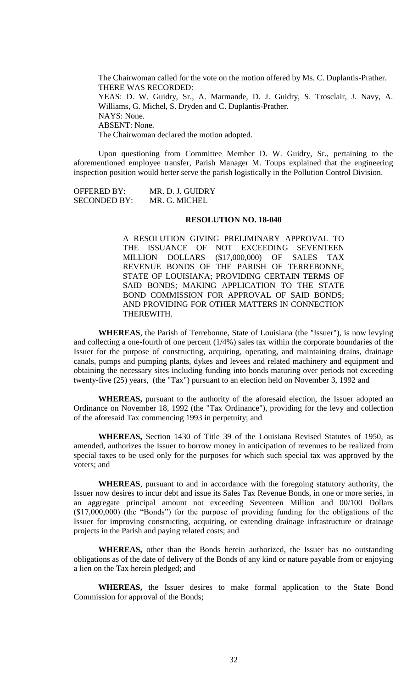The Chairwoman called for the vote on the motion offered by Ms. C. Duplantis-Prather. THERE WAS RECORDED: YEAS: D. W. Guidry, Sr., A. Marmande, D. J. Guidry, S. Trosclair, J. Navy, A. Williams, G. Michel, S. Dryden and C. Duplantis-Prather. NAYS: None. ABSENT: None. The Chairwoman declared the motion adopted.

Upon questioning from Committee Member D. W. Guidry, Sr., pertaining to the aforementioned employee transfer, Parish Manager M. Toups explained that the engineering inspection position would better serve the parish logistically in the Pollution Control Division.

| OFFERED BY:         | MR. D. J. GUIDRY |
|---------------------|------------------|
| <b>SECONDED BY:</b> | MR. G. MICHEL    |

#### **RESOLUTION NO. 18-040**

A RESOLUTION GIVING PRELIMINARY APPROVAL TO THE ISSUANCE OF NOT EXCEEDING SEVENTEEN MILLION DOLLARS (\$17,000,000) OF SALES TAX REVENUE BONDS OF THE PARISH OF TERREBONNE, STATE OF LOUISIANA; PROVIDING CERTAIN TERMS OF SAID BONDS; MAKING APPLICATION TO THE STATE BOND COMMISSION FOR APPROVAL OF SAID BONDS; AND PROVIDING FOR OTHER MATTERS IN CONNECTION THEREWITH.

**WHEREAS**, the Parish of Terrebonne, State of Louisiana (the "Issuer"), is now levying and collecting a one-fourth of one percent (1/4%) sales tax within the corporate boundaries of the Issuer for the purpose of constructing, acquiring, operating, and maintaining drains, drainage canals, pumps and pumping plants, dykes and levees and related machinery and equipment and obtaining the necessary sites including funding into bonds maturing over periods not exceeding twenty-five (25) years, (the "Tax") pursuant to an election held on November 3, 1992 and

**WHEREAS,** pursuant to the authority of the aforesaid election, the Issuer adopted an Ordinance on November 18, 1992 (the "Tax Ordinance"), providing for the levy and collection of the aforesaid Tax commencing 1993 in perpetuity; and

**WHEREAS,** Section 1430 of Title 39 of the Louisiana Revised Statutes of 1950, as amended, authorizes the Issuer to borrow money in anticipation of revenues to be realized from special taxes to be used only for the purposes for which such special tax was approved by the voters; and

**WHEREAS**, pursuant to and in accordance with the foregoing statutory authority, the Issuer now desires to incur debt and issue its Sales Tax Revenue Bonds, in one or more series, in an aggregate principal amount not exceeding Seventeen Million and 00/100 Dollars (\$17,000,000) (the "Bonds") for the purpose of providing funding for the obligations of the Issuer for improving constructing, acquiring, or extending drainage infrastructure or drainage projects in the Parish and paying related costs; and

**WHEREAS,** other than the Bonds herein authorized, the Issuer has no outstanding obligations as of the date of delivery of the Bonds of any kind or nature payable from or enjoying a lien on the Tax herein pledged; and

**WHEREAS,** the Issuer desires to make formal application to the State Bond Commission for approval of the Bonds;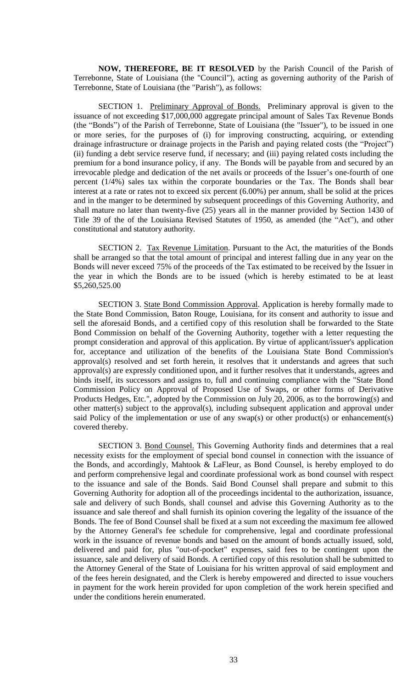**NOW, THEREFORE, BE IT RESOLVED** by the Parish Council of the Parish of Terrebonne, State of Louisiana (the "Council"), acting as governing authority of the Parish of Terrebonne, State of Louisiana (the "Parish"), as follows:

SECTION 1. Preliminary Approval of Bonds. Preliminary approval is given to the issuance of not exceeding \$17,000,000 aggregate principal amount of Sales Tax Revenue Bonds (the "Bonds") of the Parish of Terrebonne, State of Louisiana (the "Issuer"), to be issued in one or more series, for the purposes of (i) for improving constructing, acquiring, or extending drainage infrastructure or drainage projects in the Parish and paying related costs (the "Project") (ii) funding a debt service reserve fund, if necessary; and (iii) paying related costs including the premium for a bond insurance policy, if any. The Bonds will be payable from and secured by an irrevocable pledge and dedication of the net avails or proceeds of the Issuer's one-fourth of one percent (1/4%) sales tax within the corporate boundaries or the Tax. The Bonds shall bear interest at a rate or rates not to exceed six percent (6.00%) per annum, shall be solid at the prices and in the manger to be determined by subsequent proceedings of this Governing Authority, and shall mature no later than twenty-five (25) years all in the manner provided by Section 1430 of Title 39 of the of the Louisiana Revised Statutes of 1950, as amended (the "Act"), and other constitutional and statutory authority.

SECTION 2. Tax Revenue Limitation. Pursuant to the Act, the maturities of the Bonds shall be arranged so that the total amount of principal and interest falling due in any year on the Bonds will never exceed 75% of the proceeds of the Tax estimated to be received by the Issuer in the year in which the Bonds are to be issued (which is hereby estimated to be at least \$5,260,525.00

SECTION 3. State Bond Commission Approval. Application is hereby formally made to the State Bond Commission, Baton Rouge, Louisiana, for its consent and authority to issue and sell the aforesaid Bonds, and a certified copy of this resolution shall be forwarded to the State Bond Commission on behalf of the Governing Authority, together with a letter requesting the prompt consideration and approval of this application. By virtue of applicant/issuer's application for, acceptance and utilization of the benefits of the Louisiana State Bond Commission's approval(s) resolved and set forth herein, it resolves that it understands and agrees that such approval(s) are expressly conditioned upon, and it further resolves that it understands, agrees and binds itself, its successors and assigns to, full and continuing compliance with the "State Bond Commission Policy on Approval of Proposed Use of Swaps, or other forms of Derivative Products Hedges, Etc.", adopted by the Commission on July 20, 2006, as to the borrowing(s) and other matter(s) subject to the approval(s), including subsequent application and approval under said Policy of the implementation or use of any swap(s) or other product(s) or enhancement(s) covered thereby.

SECTION 3. Bond Counsel. This Governing Authority finds and determines that a real necessity exists for the employment of special bond counsel in connection with the issuance of the Bonds, and accordingly, Mahtook & LaFleur, as Bond Counsel, is hereby employed to do and perform comprehensive legal and coordinate professional work as bond counsel with respect to the issuance and sale of the Bonds. Said Bond Counsel shall prepare and submit to this Governing Authority for adoption all of the proceedings incidental to the authorization, issuance, sale and delivery of such Bonds, shall counsel and advise this Governing Authority as to the issuance and sale thereof and shall furnish its opinion covering the legality of the issuance of the Bonds. The fee of Bond Counsel shall be fixed at a sum not exceeding the maximum fee allowed by the Attorney General's fee schedule for comprehensive, legal and coordinate professional work in the issuance of revenue bonds and based on the amount of bonds actually issued, sold, delivered and paid for, plus "out-of-pocket" expenses, said fees to be contingent upon the issuance, sale and delivery of said Bonds. A certified copy of this resolution shall be submitted to the Attorney General of the State of Louisiana for his written approval of said employment and of the fees herein designated, and the Clerk is hereby empowered and directed to issue vouchers in payment for the work herein provided for upon completion of the work herein specified and under the conditions herein enumerated.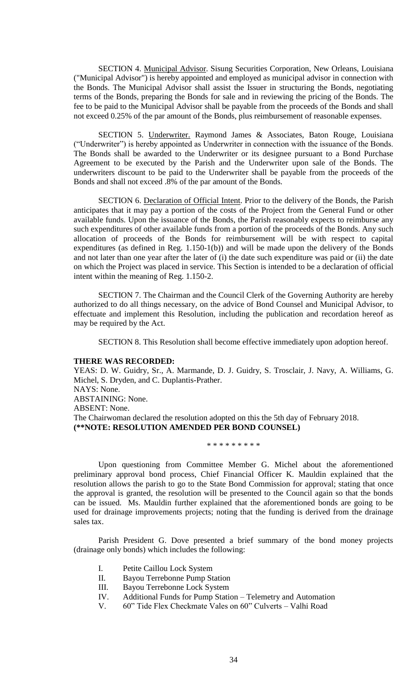SECTION 4. Municipal Advisor. Sisung Securities Corporation, New Orleans, Louisiana ("Municipal Advisor") is hereby appointed and employed as municipal advisor in connection with the Bonds. The Municipal Advisor shall assist the Issuer in structuring the Bonds, negotiating terms of the Bonds, preparing the Bonds for sale and in reviewing the pricing of the Bonds. The fee to be paid to the Municipal Advisor shall be payable from the proceeds of the Bonds and shall not exceed 0.25% of the par amount of the Bonds, plus reimbursement of reasonable expenses.

SECTION 5. Underwriter. Raymond James & Associates, Baton Rouge, Louisiana ("Underwriter") is hereby appointed as Underwriter in connection with the issuance of the Bonds. The Bonds shall be awarded to the Underwriter or its designee pursuant to a Bond Purchase Agreement to be executed by the Parish and the Underwriter upon sale of the Bonds. The underwriters discount to be paid to the Underwriter shall be payable from the proceeds of the Bonds and shall not exceed .8% of the par amount of the Bonds.

SECTION 6. Declaration of Official Intent. Prior to the delivery of the Bonds, the Parish anticipates that it may pay a portion of the costs of the Project from the General Fund or other available funds. Upon the issuance of the Bonds, the Parish reasonably expects to reimburse any such expenditures of other available funds from a portion of the proceeds of the Bonds. Any such allocation of proceeds of the Bonds for reimbursement will be with respect to capital expenditures (as defined in Reg. 1.150-1(b)) and will be made upon the delivery of the Bonds and not later than one year after the later of (i) the date such expenditure was paid or (ii) the date on which the Project was placed in service. This Section is intended to be a declaration of official intent within the meaning of Reg. 1.150-2.

SECTION 7. The Chairman and the Council Clerk of the Governing Authority are hereby authorized to do all things necessary, on the advice of Bond Counsel and Municipal Advisor, to effectuate and implement this Resolution, including the publication and recordation hereof as may be required by the Act.

SECTION 8. This Resolution shall become effective immediately upon adoption hereof.

# **THERE WAS RECORDED:**

YEAS: D. W. Guidry, Sr., A. Marmande, D. J. Guidry, S. Trosclair, J. Navy, A. Williams, G. Michel, S. Dryden, and C. Duplantis-Prather. NAYS: None. ABSTAINING: None. ABSENT: None. The Chairwoman declared the resolution adopted on this the 5th day of February 2018. **(\*\*NOTE: RESOLUTION AMENDED PER BOND COUNSEL)**

\* \* \* \* \* \* \* \* \*

Upon questioning from Committee Member G. Michel about the aforementioned preliminary approval bond process, Chief Financial Officer K. Mauldin explained that the resolution allows the parish to go to the State Bond Commission for approval; stating that once the approval is granted, the resolution will be presented to the Council again so that the bonds can be issued. Ms. Mauldin further explained that the aforementioned bonds are going to be used for drainage improvements projects; noting that the funding is derived from the drainage sales tax.

Parish President G. Dove presented a brief summary of the bond money projects (drainage only bonds) which includes the following:

- I. Petite Caillou Lock System
- II. Bayou Terrebonne Pump Station
- III. Bayou Terrebonne Lock System
- IV. Additional Funds for Pump Station Telemetry and Automation
- V. 60" Tide Flex Checkmate Vales on 60" Culverts Valhi Road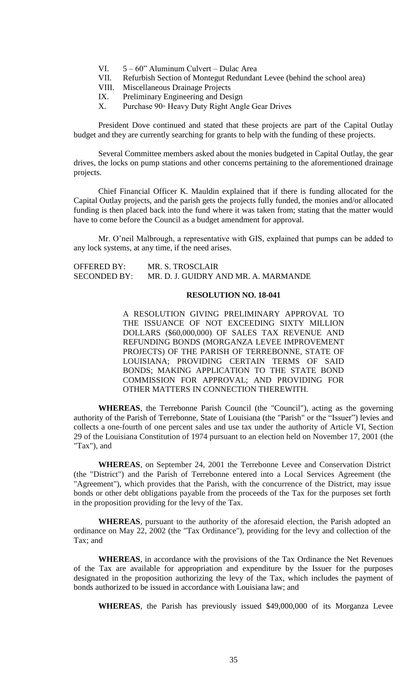- VI. 5 60" Aluminum Culvert Dulac Area
- VII. Refurbish Section of Montegut Redundant Levee (behind the school area)
- VIII. Miscellaneous Drainage Projects
- IX. Preliminary Engineering and Design
- X. Purchase 90◦ Heavy Duty Right Angle Gear Drives

President Dove continued and stated that these projects are part of the Capital Outlay budget and they are currently searching for grants to help with the funding of these projects.

Several Committee members asked about the monies budgeted in Capital Outlay, the gear drives, the locks on pump stations and other concerns pertaining to the aforementioned drainage projects.

Chief Financial Officer K. Mauldin explained that if there is funding allocated for the Capital Outlay projects, and the parish gets the projects fully funded, the monies and/or allocated funding is then placed back into the fund where it was taken from; stating that the matter would have to come before the Council as a budget amendment for approval.

Mr. O'neil Malbrough, a representative with GIS, explained that pumps can be added to any lock systems, at any time, if the need arises.

| <b>OFFERED BY:</b> | MR. S. TROSCLAIR                     |
|--------------------|--------------------------------------|
| SECONDED BY:       | MR. D. J. GUIDRY AND MR. A. MARMANDE |

# **RESOLUTION NO. 18-041**

A RESOLUTION GIVING PRELIMINARY APPROVAL TO THE ISSUANCE OF NOT EXCEEDING SIXTY MILLION DOLLARS (\$60,000,000) OF SALES TAX REVENUE AND REFUNDING BONDS (MORGANZA LEVEE IMPROVEMENT PROJECTS) OF THE PARISH OF TERREBONNE, STATE OF LOUISIANA; PROVIDING CERTAIN TERMS OF SAID BONDS; MAKING APPLICATION TO THE STATE BOND COMMISSION FOR APPROVAL; AND PROVIDING FOR OTHER MATTERS IN CONNECTION THEREWITH.

**WHEREAS**, the Terrebonne Parish Council (the "Council"), acting as the governing authority of the Parish of Terrebonne, State of Louisiana (the "Parish" or the "Issuer") levies and collects a one-fourth of one percent sales and use tax under the authority of Article VI, Section 29 of the Louisiana Constitution of 1974 pursuant to an election held on November 17, 2001 (the "Tax"), and

**WHEREAS**, on September 24, 2001 the Terrebonne Levee and Conservation District (the "District") and the Parish of Terrebonne entered into a Local Services Agreement (the "Agreement"), which provides that the Parish, with the concurrence of the District, may issue bonds or other debt obligations payable from the proceeds of the Tax for the purposes set forth in the proposition providing for the levy of the Tax.

**WHEREAS**, pursuant to the authority of the aforesaid election, the Parish adopted an ordinance on May 22, 2002 (the "Tax Ordinance"), providing for the levy and collection of the Tax; and

**WHEREAS**, in accordance with the provisions of the Tax Ordinance the Net Revenues of the Tax are available for appropriation and expenditure by the Issuer for the purposes designated in the proposition authorizing the levy of the Tax, which includes the payment of bonds authorized to be issued in accordance with Louisiana law; and

**WHEREAS**, the Parish has previously issued \$49,000,000 of its Morganza Levee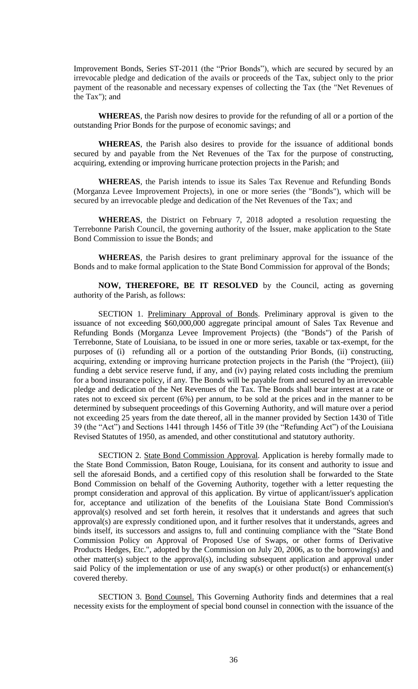Improvement Bonds, Series ST-2011 (the "Prior Bonds"), which are secured by secured by an irrevocable pledge and dedication of the avails or proceeds of the Tax, subject only to the prior payment of the reasonable and necessary expenses of collecting the Tax (the "Net Revenues of the Tax"); and

**WHEREAS**, the Parish now desires to provide for the refunding of all or a portion of the outstanding Prior Bonds for the purpose of economic savings; and

**WHEREAS**, the Parish also desires to provide for the issuance of additional bonds secured by and payable from the Net Revenues of the Tax for the purpose of constructing, acquiring, extending or improving hurricane protection projects in the Parish; and

**WHEREAS**, the Parish intends to issue its Sales Tax Revenue and Refunding Bonds (Morganza Levee Improvement Projects), in one or more series (the "Bonds"), which will be secured by an irrevocable pledge and dedication of the Net Revenues of the Tax; and

**WHEREAS**, the District on February 7, 2018 adopted a resolution requesting the Terrebonne Parish Council, the governing authority of the Issuer, make application to the State Bond Commission to issue the Bonds; and

**WHEREAS**, the Parish desires to grant preliminary approval for the issuance of the Bonds and to make formal application to the State Bond Commission for approval of the Bonds;

**NOW, THEREFORE, BE IT RESOLVED** by the Council, acting as governing authority of the Parish, as follows:

SECTION 1. Preliminary Approval of Bonds. Preliminary approval is given to the issuance of not exceeding \$60,000,000 aggregate principal amount of Sales Tax Revenue and Refunding Bonds (Morganza Levee Improvement Projects) (the "Bonds") of the Parish of Terrebonne, State of Louisiana, to be issued in one or more series, taxable or tax-exempt, for the purposes of (i) refunding all or a portion of the outstanding Prior Bonds, (ii) constructing, acquiring, extending or improving hurricane protection projects in the Parish (the "Project), (iii) funding a debt service reserve fund, if any, and (iv) paying related costs including the premium for a bond insurance policy, if any. The Bonds will be payable from and secured by an irrevocable pledge and dedication of the Net Revenues of the Tax. The Bonds shall bear interest at a rate or rates not to exceed six percent (6%) per annum, to be sold at the prices and in the manner to be determined by subsequent proceedings of this Governing Authority, and will mature over a period not exceeding 25 years from the date thereof, all in the manner provided by Section 1430 of Title 39 (the "Act") and Sections 1441 through 1456 of Title 39 (the "Refunding Act") of the Louisiana Revised Statutes of 1950, as amended, and other constitutional and statutory authority.

SECTION 2. State Bond Commission Approval. Application is hereby formally made to the State Bond Commission, Baton Rouge, Louisiana, for its consent and authority to issue and sell the aforesaid Bonds, and a certified copy of this resolution shall be forwarded to the State Bond Commission on behalf of the Governing Authority, together with a letter requesting the prompt consideration and approval of this application. By virtue of applicant/issuer's application for, acceptance and utilization of the benefits of the Louisiana State Bond Commission's approval(s) resolved and set forth herein, it resolves that it understands and agrees that such approval(s) are expressly conditioned upon, and it further resolves that it understands, agrees and binds itself, its successors and assigns to, full and continuing compliance with the "State Bond Commission Policy on Approval of Proposed Use of Swaps, or other forms of Derivative Products Hedges, Etc.", adopted by the Commission on July 20, 2006, as to the borrowing(s) and other matter(s) subject to the approval(s), including subsequent application and approval under said Policy of the implementation or use of any  $swap(s)$  or other product(s) or enhancement(s) covered thereby.

SECTION 3. Bond Counsel. This Governing Authority finds and determines that a real necessity exists for the employment of special bond counsel in connection with the issuance of the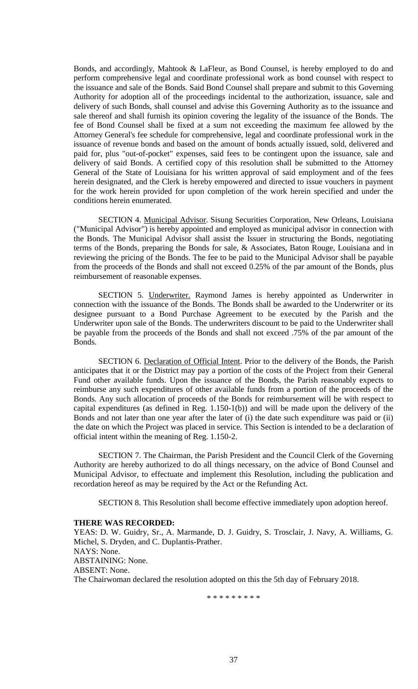Bonds, and accordingly, Mahtook & LaFleur, as Bond Counsel, is hereby employed to do and perform comprehensive legal and coordinate professional work as bond counsel with respect to the issuance and sale of the Bonds. Said Bond Counsel shall prepare and submit to this Governing Authority for adoption all of the proceedings incidental to the authorization, issuance, sale and delivery of such Bonds, shall counsel and advise this Governing Authority as to the issuance and sale thereof and shall furnish its opinion covering the legality of the issuance of the Bonds. The fee of Bond Counsel shall be fixed at a sum not exceeding the maximum fee allowed by the Attorney General's fee schedule for comprehensive, legal and coordinate professional work in the issuance of revenue bonds and based on the amount of bonds actually issued, sold, delivered and paid for, plus "out-of-pocket" expenses, said fees to be contingent upon the issuance, sale and delivery of said Bonds. A certified copy of this resolution shall be submitted to the Attorney General of the State of Louisiana for his written approval of said employment and of the fees herein designated, and the Clerk is hereby empowered and directed to issue vouchers in payment for the work herein provided for upon completion of the work herein specified and under the conditions herein enumerated.

SECTION 4. Municipal Advisor. Sisung Securities Corporation, New Orleans, Louisiana ("Municipal Advisor") is hereby appointed and employed as municipal advisor in connection with the Bonds. The Municipal Advisor shall assist the Issuer in structuring the Bonds, negotiating terms of the Bonds, preparing the Bonds for sale, & Associates, Baton Rouge, Louisiana and in reviewing the pricing of the Bonds. The fee to be paid to the Municipal Advisor shall be payable from the proceeds of the Bonds and shall not exceed 0.25% of the par amount of the Bonds, plus reimbursement of reasonable expenses.

SECTION 5. Underwriter. Raymond James is hereby appointed as Underwriter in connection with the issuance of the Bonds. The Bonds shall be awarded to the Underwriter or its designee pursuant to a Bond Purchase Agreement to be executed by the Parish and the Underwriter upon sale of the Bonds. The underwriters discount to be paid to the Underwriter shall be payable from the proceeds of the Bonds and shall not exceed .75% of the par amount of the Bonds.

SECTION 6. Declaration of Official Intent. Prior to the delivery of the Bonds, the Parish anticipates that it or the District may pay a portion of the costs of the Project from their General Fund other available funds. Upon the issuance of the Bonds, the Parish reasonably expects to reimburse any such expenditures of other available funds from a portion of the proceeds of the Bonds. Any such allocation of proceeds of the Bonds for reimbursement will be with respect to capital expenditures (as defined in Reg. 1.150-1(b)) and will be made upon the delivery of the Bonds and not later than one year after the later of (i) the date such expenditure was paid or (ii) the date on which the Project was placed in service. This Section is intended to be a declaration of official intent within the meaning of Reg. 1.150-2.

SECTION 7. The Chairman, the Parish President and the Council Clerk of the Governing Authority are hereby authorized to do all things necessary, on the advice of Bond Counsel and Municipal Advisor, to effectuate and implement this Resolution, including the publication and recordation hereof as may be required by the Act or the Refunding Act.

SECTION 8. This Resolution shall become effective immediately upon adoption hereof.

# **THERE WAS RECORDED:**

YEAS: D. W. Guidry, Sr., A. Marmande, D. J. Guidry, S. Trosclair, J. Navy, A. Williams, G. Michel, S. Dryden, and C. Duplantis-Prather. NAYS: None. ABSTAINING: None. ABSENT: None. The Chairwoman declared the resolution adopted on this the 5th day of February 2018.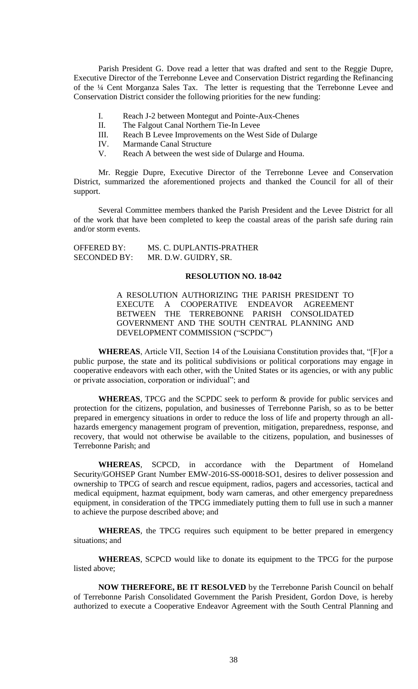Parish President G. Dove read a letter that was drafted and sent to the Reggie Dupre, Executive Director of the Terrebonne Levee and Conservation District regarding the Refinancing of the ¼ Cent Morganza Sales Tax. The letter is requesting that the Terrebonne Levee and Conservation District consider the following priorities for the new funding:

- I. Reach J-2 between Montegut and Pointe-Aux-Chenes
- II. The Falgout Canal Northern Tie-In Levee
- III. Reach B Levee Improvements on the West Side of Dularge
- IV. Marmande Canal Structure
- V. Reach A between the west side of Dularge and Houma.

Mr. Reggie Dupre, Executive Director of the Terrebonne Levee and Conservation District, summarized the aforementioned projects and thanked the Council for all of their support.

Several Committee members thanked the Parish President and the Levee District for all of the work that have been completed to keep the coastal areas of the parish safe during rain and/or storm events.

| OFFERED BY:         | MS. C. DUPLANTIS-PRATHER |
|---------------------|--------------------------|
| <b>SECONDED BY:</b> | MR. D.W. GUIDRY, SR.     |

#### **RESOLUTION NO. 18-042**

A RESOLUTION AUTHORIZING THE PARISH PRESIDENT TO EXECUTE A COOPERATIVE ENDEAVOR AGREEMENT BETWEEN THE TERREBONNE PARISH CONSOLIDATED GOVERNMENT AND THE SOUTH CENTRAL PLANNING AND DEVELOPMENT COMMISSION ("SCPDC")

**WHEREAS**, Article VII, Section 14 of the Louisiana Constitution provides that, "[F]or a public purpose, the state and its political subdivisions or political corporations may engage in cooperative endeavors with each other, with the United States or its agencies, or with any public or private association, corporation or individual"; and

**WHEREAS**, TPCG and the SCPDC seek to perform & provide for public services and protection for the citizens, population, and businesses of Terrebonne Parish, so as to be better prepared in emergency situations in order to reduce the loss of life and property through an allhazards emergency management program of prevention, mitigation, preparedness, response, and recovery, that would not otherwise be available to the citizens, population, and businesses of Terrebonne Parish; and

**WHEREAS**, SCPCD, in accordance with the Department of Homeland Security/GOHSEP Grant Number EMW-2016-SS-00018-SO1, desires to deliver possession and ownership to TPCG of search and rescue equipment, radios, pagers and accessories, tactical and medical equipment, hazmat equipment, body warn cameras, and other emergency preparedness equipment, in consideration of the TPCG immediately putting them to full use in such a manner to achieve the purpose described above; and

**WHEREAS**, the TPCG requires such equipment to be better prepared in emergency situations; and

**WHEREAS**, SCPCD would like to donate its equipment to the TPCG for the purpose listed above;

**NOW THEREFORE, BE IT RESOLVED** by the Terrebonne Parish Council on behalf of Terrebonne Parish Consolidated Government the Parish President, Gordon Dove, is hereby authorized to execute a Cooperative Endeavor Agreement with the South Central Planning and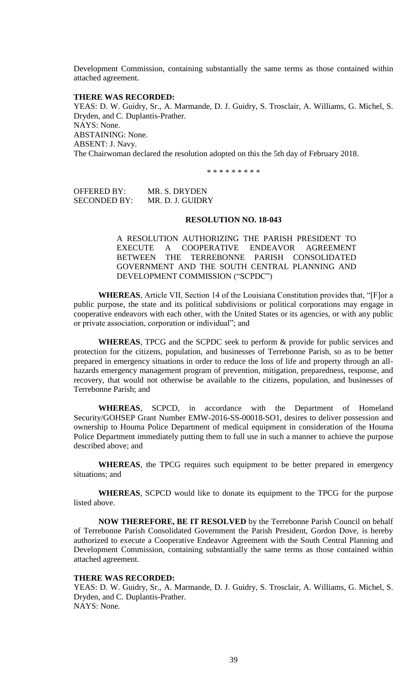Development Commission, containing substantially the same terms as those contained within attached agreement.

# **THERE WAS RECORDED:**

YEAS: D. W. Guidry, Sr., A. Marmande, D. J. Guidry, S. Trosclair, A. Williams, G. Michel, S. Dryden, and C. Duplantis-Prather. NAYS: None. ABSTAINING: None. ABSENT: J. Navy. The Chairwoman declared the resolution adopted on this the 5th day of February 2018.

\* \* \* \* \* \* \* \* \*

| OFFERED BY:  | MR. S. DRYDEN    |
|--------------|------------------|
| SECONDED BY: | MR. D. J. GUIDRY |

#### **RESOLUTION NO. 18-043**

A RESOLUTION AUTHORIZING THE PARISH PRESIDENT TO EXECUTE A COOPERATIVE ENDEAVOR AGREEMENT BETWEEN THE TERREBONNE PARISH CONSOLIDATED GOVERNMENT AND THE SOUTH CENTRAL PLANNING AND DEVELOPMENT COMMISSION ("SCPDC")

**WHEREAS**, Article VII, Section 14 of the Louisiana Constitution provides that, "[F]or a public purpose, the state and its political subdivisions or political corporations may engage in cooperative endeavors with each other, with the United States or its agencies, or with any public or private association, corporation or individual"; and

**WHEREAS**, TPCG and the SCPDC seek to perform & provide for public services and protection for the citizens, population, and businesses of Terrebonne Parish, so as to be better prepared in emergency situations in order to reduce the loss of life and property through an allhazards emergency management program of prevention, mitigation, preparedness, response, and recovery, that would not otherwise be available to the citizens, population, and businesses of Terrebonne Parish; and

**WHEREAS**, SCPCD, in accordance with the Department of Homeland Security/GOHSEP Grant Number EMW-2016-SS-00018-SO1, desires to deliver possession and ownership to Houma Police Department of medical equipment in consideration of the Houma Police Department immediately putting them to full use in such a manner to achieve the purpose described above; and

**WHEREAS**, the TPCG requires such equipment to be better prepared in emergency situations; and

**WHEREAS**, SCPCD would like to donate its equipment to the TPCG for the purpose listed above.

**NOW THEREFORE, BE IT RESOLVED** by the Terrebonne Parish Council on behalf of Terrebonne Parish Consolidated Government the Parish President, Gordon Dove, is hereby authorized to execute a Cooperative Endeavor Agreement with the South Central Planning and Development Commission, containing substantially the same terms as those contained within attached agreement.

#### **THERE WAS RECORDED:**

YEAS: D. W. Guidry, Sr., A. Marmande, D. J. Guidry, S. Trosclair, A. Williams, G. Michel, S. Dryden, and C. Duplantis-Prather. NAYS: None.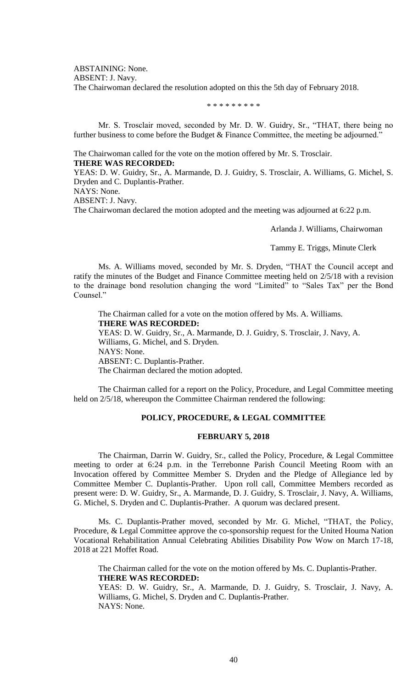ABSTAINING: None.

ABSENT: J. Navy.

The Chairwoman declared the resolution adopted on this the 5th day of February 2018.

\* \* \* \* \* \* \* \* \*

Mr. S. Trosclair moved, seconded by Mr. D. W. Guidry, Sr., "THAT, there being no further business to come before the Budget & Finance Committee, the meeting be adjourned."

The Chairwoman called for the vote on the motion offered by Mr. S. Trosclair. **THERE WAS RECORDED:**

YEAS: D. W. Guidry, Sr., A. Marmande, D. J. Guidry, S. Trosclair, A. Williams, G. Michel, S. Dryden and C. Duplantis-Prather.

NAYS: None.

ABSENT: J. Navy.

The Chairwoman declared the motion adopted and the meeting was adjourned at 6:22 p.m.

Arlanda J. Williams, Chairwoman

Tammy E. Triggs, Minute Clerk

Ms. A. Williams moved, seconded by Mr. S. Dryden, "THAT the Council accept and ratify the minutes of the Budget and Finance Committee meeting held on 2/5/18 with a revision to the drainage bond resolution changing the word "Limited" to "Sales Tax" per the Bond Counsel."

The Chairman called for a vote on the motion offered by Ms. A. Williams. **THERE WAS RECORDED:** YEAS: D. W. Guidry, Sr., A. Marmande, D. J. Guidry, S. Trosclair, J. Navy, A. Williams, G. Michel, and S. Dryden. NAYS: None. ABSENT: C. Duplantis-Prather. The Chairman declared the motion adopted.

The Chairman called for a report on the Policy, Procedure, and Legal Committee meeting held on 2/5/18, whereupon the Committee Chairman rendered the following:

# **POLICY, PROCEDURE, & LEGAL COMMITTEE**

# **FEBRUARY 5, 2018**

The Chairman, Darrin W. Guidry, Sr., called the Policy, Procedure, & Legal Committee meeting to order at 6:24 p.m. in the Terrebonne Parish Council Meeting Room with an Invocation offered by Committee Member S. Dryden and the Pledge of Allegiance led by Committee Member C. Duplantis-Prather. Upon roll call, Committee Members recorded as present were: D. W. Guidry, Sr., A. Marmande, D. J. Guidry, S. Trosclair, J. Navy, A. Williams, G. Michel, S. Dryden and C. Duplantis-Prather. A quorum was declared present.

Ms. C. Duplantis-Prather moved, seconded by Mr. G. Michel, "THAT, the Policy, Procedure, & Legal Committee approve the co-sponsorship request for the United Houma Nation Vocational Rehabilitation Annual Celebrating Abilities Disability Pow Wow on March 17-18, 2018 at 221 Moffet Road.

The Chairman called for the vote on the motion offered by Ms. C. Duplantis-Prather. **THERE WAS RECORDED:**

YEAS: D. W. Guidry, Sr., A. Marmande, D. J. Guidry, S. Trosclair, J. Navy, A. Williams, G. Michel, S. Dryden and C. Duplantis-Prather. NAYS: None.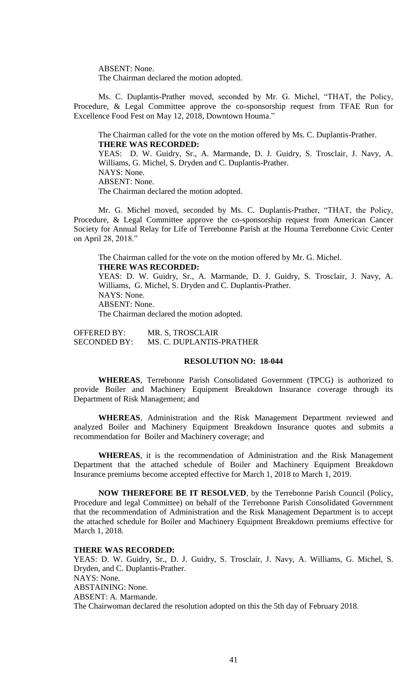ABSENT: None.

The Chairman declared the motion adopted.

Ms. C. Duplantis-Prather moved, seconded by Mr. G. Michel, "THAT, the Policy, Procedure, & Legal Committee approve the co-sponsorship request from TFAE Run for Excellence Food Fest on May 12, 2018, Downtown Houma."

The Chairman called for the vote on the motion offered by Ms. C. Duplantis-Prather. **THERE WAS RECORDED:**

YEAS: D. W. Guidry, Sr., A. Marmande, D. J. Guidry, S. Trosclair, J. Navy, A. Williams, G. Michel, S. Dryden and C. Duplantis-Prather. NAYS: None. ABSENT: None. The Chairman declared the motion adopted.

Mr. G. Michel moved, seconded by Ms. C. Duplantis-Prather, "THAT, the Policy, Procedure, & Legal Committee approve the co-sponsorship request from American Cancer Society for Annual Relay for Life of Terrebonne Parish at the Houma Terrebonne Civic Center on April 28, 2018."

The Chairman called for the vote on the motion offered by Mr. G. Michel. **THERE WAS RECORDED:**

YEAS: D. W. Guidry, Sr., A. Marmande, D. J. Guidry, S. Trosclair, J. Navy, A. Williams, G. Michel, S. Dryden and C. Duplantis-Prather. NAYS: None. ABSENT: None. The Chairman declared the motion adopted.

OFFERED BY: MR. S, TROSCLAIR SECONDED BY: MS. C. DUPLANTIS-PRATHER

# **RESOLUTION NO: 18-044**

**WHEREAS**, Terrebonne Parish Consolidated Government (TPCG) is authorized to provide Boiler and Machinery Equipment Breakdown Insurance coverage through its Department of Risk Management; and

**WHEREAS**, Administration and the Risk Management Department reviewed and analyzed Boiler and Machinery Equipment Breakdown Insurance quotes and submits a recommendation for Boiler and Machinery coverage; and

**WHEREAS**, it is the recommendation of Administration and the Risk Management Department that the attached schedule of Boiler and Machinery Equipment Breakdown Insurance premiums become accepted effective for March 1, 2018 to March 1, 2019.

**NOW THEREFORE BE IT RESOLVED**, by the Terrebonne Parish Council (Policy, Procedure and legal Committee) on behalf of the Terrebonne Parish Consolidated Government that the recommendation of Administration and the Risk Management Department is to accept the attached schedule for Boiler and Machinery Equipment Breakdown premiums effective for March 1, 2018.

### **THERE WAS RECORDED:**

YEAS: D. W. Guidry, Sr., D. J. Guidry, S. Trosclair, J. Navy, A. Williams, G. Michel, S. Dryden, and C. Duplantis-Prather. NAYS: None. ABSTAINING: None. ABSENT: A. Marmande. The Chairwoman declared the resolution adopted on this the 5th day of February 2018.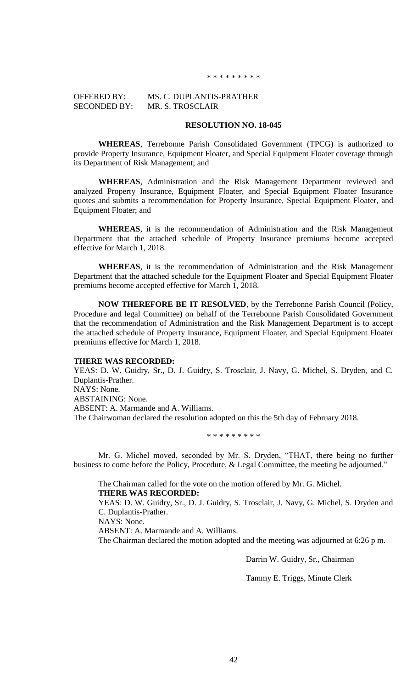#### \* \* \* \* \* \* \* \*

# OFFERED BY: MS. C. DUPLANTIS-PRATHER SECONDED BY: MR. S. TROSCLAIR

# **RESOLUTION NO. 18-045**

**WHEREAS**, Terrebonne Parish Consolidated Government (TPCG) is authorized to provide Property Insurance, Equipment Floater, and Special Equipment Floater coverage through its Department of Risk Management; and

**WHEREAS**, Administration and the Risk Management Department reviewed and analyzed Property Insurance, Equipment Floater, and Special Equipment Floater Insurance quotes and submits a recommendation for Property Insurance, Special Equipment Floater, and Equipment Floater; and

**WHEREAS**, it is the recommendation of Administration and the Risk Management Department that the attached schedule of Property Insurance premiums become accepted effective for March 1, 2018.

**WHEREAS**, it is the recommendation of Administration and the Risk Management Department that the attached schedule for the Equipment Floater and Special Equipment Floater premiums become accepted effective for March 1, 2018.

**NOW THEREFORE BE IT RESOLVED**, by the Terrebonne Parish Council (Policy, Procedure and legal Committee) on behalf of the Terrebonne Parish Consolidated Government that the recommendation of Administration and the Risk Management Department is to accept the attached schedule of Property Insurance, Equipment Floater, and Special Equipment Floater premiums effective for March 1, 2018.

### **THERE WAS RECORDED:**

YEAS: D. W. Guidry, Sr., D. J. Guidry, S. Trosclair, J. Navy, G. Michel, S. Dryden, and C. Duplantis-Prather. NAYS: None.

ABSTAINING: None. ABSENT: A. Marmande and A. Williams. The Chairwoman declared the resolution adopted on this the 5th day of February 2018.

\* \* \* \* \* \* \* \* \*

Mr. G. Michel moved, seconded by Mr. S. Dryden, "THAT, there being no further business to come before the Policy, Procedure, & Legal Committee, the meeting be adjourned."

The Chairman called for the vote on the motion offered by Mr. G. Michel. **THERE WAS RECORDED:**

YEAS: D. W. Guidry, Sr., D. J. Guidry, S. Trosclair, J. Navy, G. Michel, S. Dryden and C. Duplantis-Prather.

NAYS: None.

ABSENT: A. Marmande and A. Williams.

The Chairman declared the motion adopted and the meeting was adjourned at 6:26 p m.

Darrin W. Guidry, Sr., Chairman

Tammy E. Triggs, Minute Clerk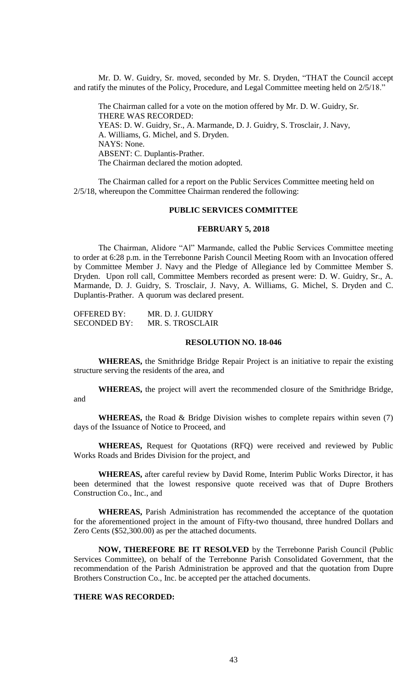Mr. D. W. Guidry, Sr. moved, seconded by Mr. S. Dryden, "THAT the Council accept and ratify the minutes of the Policy, Procedure, and Legal Committee meeting held on 2/5/18."

The Chairman called for a vote on the motion offered by Mr. D. W. Guidry, Sr. THERE WAS RECORDED: YEAS: D. W. Guidry, Sr., A. Marmande, D. J. Guidry, S. Trosclair, J. Navy, A. Williams, G. Michel, and S. Dryden. NAYS: None. ABSENT: C. Duplantis-Prather. The Chairman declared the motion adopted.

The Chairman called for a report on the Public Services Committee meeting held on 2/5/18, whereupon the Committee Chairman rendered the following:

### **PUBLIC SERVICES COMMITTEE**

#### **FEBRUARY 5, 2018**

The Chairman, Alidore "Al" Marmande, called the Public Services Committee meeting to order at 6:28 p.m. in the Terrebonne Parish Council Meeting Room with an Invocation offered by Committee Member J. Navy and the Pledge of Allegiance led by Committee Member S. Dryden. Upon roll call, Committee Members recorded as present were: D. W. Guidry, Sr., A. Marmande, D. J. Guidry, S. Trosclair, J. Navy, A. Williams, G. Michel, S. Dryden and C. Duplantis-Prather. A quorum was declared present.

| <b>OFFERED BY:</b>  | MR. D. J. GUIDRY |
|---------------------|------------------|
| <b>SECONDED BY:</b> | MR. S. TROSCLAIR |

### **RESOLUTION NO. 18-046**

**WHEREAS,** the Smithridge Bridge Repair Project is an initiative to repair the existing structure serving the residents of the area, and

**WHEREAS,** the project will avert the recommended closure of the Smithridge Bridge, and

**WHEREAS,** the Road & Bridge Division wishes to complete repairs within seven (7) days of the Issuance of Notice to Proceed, and

**WHEREAS,** Request for Quotations (RFQ) were received and reviewed by Public Works Roads and Brides Division for the project, and

**WHEREAS,** after careful review by David Rome, Interim Public Works Director, it has been determined that the lowest responsive quote received was that of Dupre Brothers Construction Co., Inc., and

**WHEREAS,** Parish Administration has recommended the acceptance of the quotation for the aforementioned project in the amount of Fifty-two thousand, three hundred Dollars and Zero Cents (\$52,300.00) as per the attached documents.

**NOW, THEREFORE BE IT RESOLVED** by the Terrebonne Parish Council (Public Services Committee), on behalf of the Terrebonne Parish Consolidated Government, that the recommendation of the Parish Administration be approved and that the quotation from Dupre Brothers Construction Co., Inc. be accepted per the attached documents.

#### **THERE WAS RECORDED:**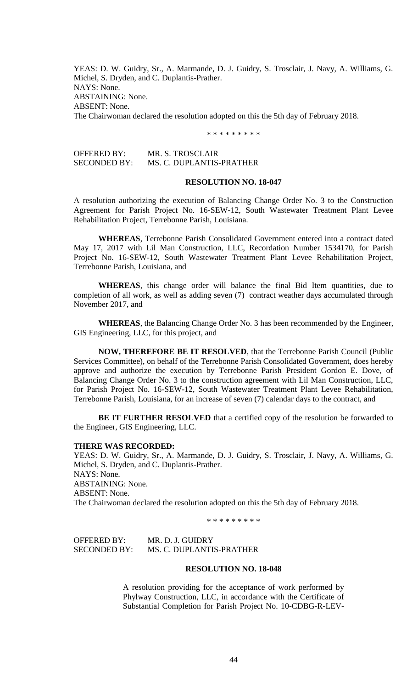YEAS: D. W. Guidry, Sr., A. Marmande, D. J. Guidry, S. Trosclair, J. Navy, A. Williams, G. Michel, S. Dryden, and C. Duplantis-Prather. NAYS: None. ABSTAINING: None. ABSENT: None. The Chairwoman declared the resolution adopted on this the 5th day of February 2018.

\* \* \* \* \* \* \* \* \*

OFFERED BY: MR. S. TROSCLAIR SECONDED BY: MS. C. DUPLANTIS-PRATHER

### **RESOLUTION NO. 18-047**

A resolution authorizing the execution of Balancing Change Order No. 3 to the Construction Agreement for Parish Project No. 16-SEW-12, South Wastewater Treatment Plant Levee Rehabilitation Project, Terrebonne Parish, Louisiana.

**WHEREAS**, Terrebonne Parish Consolidated Government entered into a contract dated May 17, 2017 with Lil Man Construction, LLC, Recordation Number 1534170, for Parish Project No. 16-SEW-12, South Wastewater Treatment Plant Levee Rehabilitation Project, Terrebonne Parish, Louisiana, and

**WHEREAS**, this change order will balance the final Bid Item quantities, due to completion of all work, as well as adding seven (7) contract weather days accumulated through November 2017, and

**WHEREAS**, the Balancing Change Order No. 3 has been recommended by the Engineer, GIS Engineering, LLC, for this project, and

**NOW, THEREFORE BE IT RESOLVED**, that the Terrebonne Parish Council (Public Services Committee), on behalf of the Terrebonne Parish Consolidated Government, does hereby approve and authorize the execution by Terrebonne Parish President Gordon E. Dove, of Balancing Change Order No. 3 to the construction agreement with Lil Man Construction, LLC, for Parish Project No. 16-SEW-12, South Wastewater Treatment Plant Levee Rehabilitation, Terrebonne Parish, Louisiana, for an increase of seven (7) calendar days to the contract, and

**BE IT FURTHER RESOLVED** that a certified copy of the resolution be forwarded to the Engineer, GIS Engineering, LLC.

### **THERE WAS RECORDED:**

YEAS: D. W. Guidry, Sr., A. Marmande, D. J. Guidry, S. Trosclair, J. Navy, A. Williams, G. Michel, S. Dryden, and C. Duplantis-Prather. NAYS: None. ABSTAINING: None. ABSENT: None. The Chairwoman declared the resolution adopted on this the 5th day of February 2018.

\* \* \* \* \* \* \* \* \*

OFFERED BY: MR. D. J. GUIDRY SECONDED BY: MS. C. DUPLANTIS-PRATHER

# **RESOLUTION NO. 18-048**

A resolution providing for the acceptance of work performed by Phylway Construction, LLC, in accordance with the Certificate of Substantial Completion for Parish Project No. 10-CDBG-R-LEV-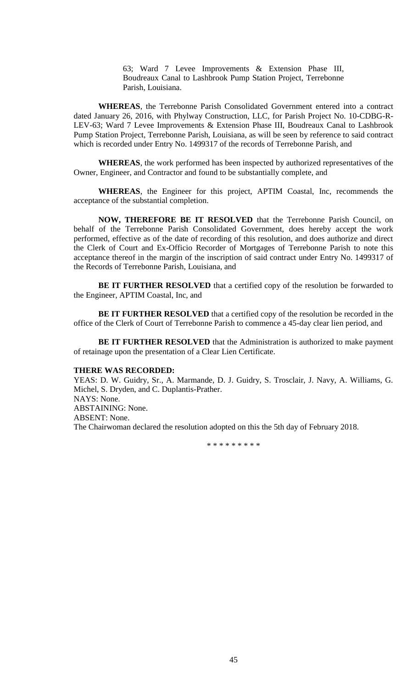63; Ward 7 Levee Improvements & Extension Phase III, Boudreaux Canal to Lashbrook Pump Station Project, Terrebonne Parish, Louisiana.

**WHEREAS**, the Terrebonne Parish Consolidated Government entered into a contract dated January 26, 2016, with Phylway Construction, LLC, for Parish Project No. 10-CDBG-R-LEV-63; Ward 7 Levee Improvements & Extension Phase III, Boudreaux Canal to Lashbrook Pump Station Project, Terrebonne Parish, Louisiana, as will be seen by reference to said contract which is recorded under Entry No. 1499317 of the records of Terrebonne Parish, and

**WHEREAS**, the work performed has been inspected by authorized representatives of the Owner, Engineer, and Contractor and found to be substantially complete, and

**WHEREAS**, the Engineer for this project, APTIM Coastal, Inc, recommends the acceptance of the substantial completion.

**NOW, THEREFORE BE IT RESOLVED** that the Terrebonne Parish Council, on behalf of the Terrebonne Parish Consolidated Government, does hereby accept the work performed, effective as of the date of recording of this resolution, and does authorize and direct the Clerk of Court and Ex-Officio Recorder of Mortgages of Terrebonne Parish to note this acceptance thereof in the margin of the inscription of said contract under Entry No. 1499317 of the Records of Terrebonne Parish, Louisiana, and

**BE IT FURTHER RESOLVED** that a certified copy of the resolution be forwarded to the Engineer, APTIM Coastal, Inc, and

**BE IT FURTHER RESOLVED** that a certified copy of the resolution be recorded in the office of the Clerk of Court of Terrebonne Parish to commence a 45-day clear lien period, and

**BE IT FURTHER RESOLVED** that the Administration is authorized to make payment of retainage upon the presentation of a Clear Lien Certificate.

# **THERE WAS RECORDED:**

YEAS: D. W. Guidry, Sr., A. Marmande, D. J. Guidry, S. Trosclair, J. Navy, A. Williams, G. Michel, S. Dryden, and C. Duplantis-Prather. NAYS: None. ABSTAINING: None. ABSENT: None. The Chairwoman declared the resolution adopted on this the 5th day of February 2018.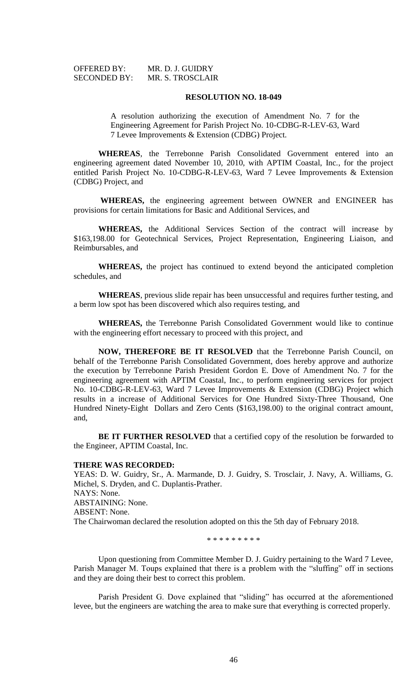| <b>OFFERED BY:</b>  | MR. D. J. GUIDRY |
|---------------------|------------------|
| <b>SECONDED BY:</b> | MR. S. TROSCLAIR |

#### **RESOLUTION NO. 18-049**

A resolution authorizing the execution of Amendment No. 7 for the Engineering Agreement for Parish Project No. 10-CDBG-R-LEV-63, Ward 7 Levee Improvements & Extension (CDBG) Project.

**WHEREAS**, the Terrebonne Parish Consolidated Government entered into an engineering agreement dated November 10, 2010, with APTIM Coastal, Inc., for the project entitled Parish Project No. 10-CDBG-R-LEV-63, Ward 7 Levee Improvements & Extension (CDBG) Project, and

**WHEREAS,** the engineering agreement between OWNER and ENGINEER has provisions for certain limitations for Basic and Additional Services, and

**WHEREAS,** the Additional Services Section of the contract will increase by \$163,198.00 for Geotechnical Services, Project Representation, Engineering Liaison, and Reimbursables, and

**WHEREAS,** the project has continued to extend beyond the anticipated completion schedules, and

**WHEREAS**, previous slide repair has been unsuccessful and requires further testing, and a berm low spot has been discovered which also requires testing, and

**WHEREAS,** the Terrebonne Parish Consolidated Government would like to continue with the engineering effort necessary to proceed with this project, and

**NOW, THEREFORE BE IT RESOLVED** that the Terrebonne Parish Council, on behalf of the Terrebonne Parish Consolidated Government, does hereby approve and authorize the execution by Terrebonne Parish President Gordon E. Dove of Amendment No. 7 for the engineering agreement with APTIM Coastal, Inc., to perform engineering services for project No. 10-CDBG-R-LEV-63, Ward 7 Levee Improvements & Extension (CDBG) Project which results in a increase of Additional Services for One Hundred Sixty-Three Thousand, One Hundred Ninety-Eight Dollars and Zero Cents (\$163,198.00) to the original contract amount, and,

**BE IT FURTHER RESOLVED** that a certified copy of the resolution be forwarded to the Engineer, APTIM Coastal, Inc.

### **THERE WAS RECORDED:**

YEAS: D. W. Guidry, Sr., A. Marmande, D. J. Guidry, S. Trosclair, J. Navy, A. Williams, G. Michel, S. Dryden, and C. Duplantis-Prather. NAYS: None. ABSTAINING: None. ABSENT: None. The Chairwoman declared the resolution adopted on this the 5th day of February 2018.

\* \* \* \* \* \* \* \* \*

Upon questioning from Committee Member D. J. Guidry pertaining to the Ward 7 Levee, Parish Manager M. Toups explained that there is a problem with the "sluffing" off in sections and they are doing their best to correct this problem.

Parish President G. Dove explained that "sliding" has occurred at the aforementioned levee, but the engineers are watching the area to make sure that everything is corrected properly.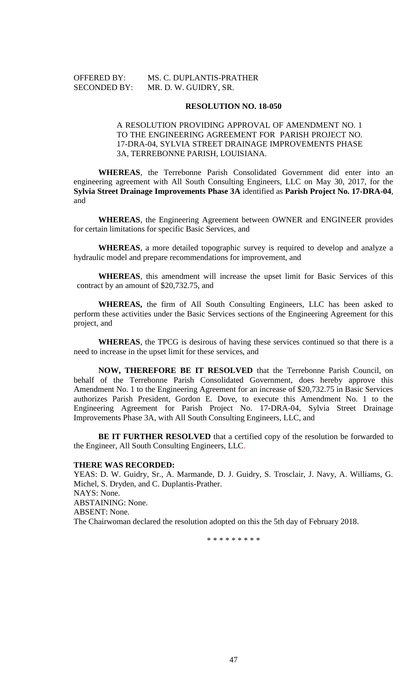OFFERED BY: MS. C. DUPLANTIS-PRATHER SECONDED BY: MR. D. W. GUIDRY, SR.

# **RESOLUTION NO. 18-050**

# A RESOLUTION PROVIDING APPROVAL OF AMENDMENT NO. 1 TO THE ENGINEERING AGREEMENT FOR PARISH PROJECT NO. 17-DRA-04, SYLVIA STREET DRAINAGE IMPROVEMENTS PHASE 3A, TERREBONNE PARISH, LOUISIANA.

**WHEREAS**, the Terrebonne Parish Consolidated Government did enter into an engineering agreement with All South Consulting Engineers, LLC on May 30, 2017, for the **Sylvia Street Drainage Improvements Phase 3A** identified as **Parish Project No. 17-DRA-04**, and

**WHEREAS**, the Engineering Agreement between OWNER and ENGINEER provides for certain limitations for specific Basic Services, and

**WHEREAS**, a more detailed topographic survey is required to develop and analyze a hydraulic model and prepare recommendations for improvement, and

**WHEREAS**, this amendment will increase the upset limit for Basic Services of this contract by an amount of \$20,732.75, and

**WHEREAS,** the firm of All South Consulting Engineers, LLC has been asked to perform these activities under the Basic Services sections of the Engineering Agreement for this project, and

**WHEREAS**, the TPCG is desirous of having these services continued so that there is a need to increase in the upset limit for these services, and

**NOW, THEREFORE BE IT RESOLVED** that the Terrebonne Parish Council, on behalf of the Terrebonne Parish Consolidated Government, does hereby approve this Amendment No. 1 to the Engineering Agreement for an increase of \$20,732.75 in Basic Services authorizes Parish President, Gordon E. Dove, to execute this Amendment No. 1 to the Engineering Agreement for Parish Project No. 17-DRA-04, Sylvia Street Drainage Improvements Phase 3A, with All South Consulting Engineers, LLC, and

**BE IT FURTHER RESOLVED** that a certified copy of the resolution be forwarded to the Engineer, All South Consulting Engineers, LLC.

### **THERE WAS RECORDED:**

YEAS: D. W. Guidry, Sr., A. Marmande, D. J. Guidry, S. Trosclair, J. Navy, A. Williams, G. Michel, S. Dryden, and C. Duplantis-Prather. NAYS: None. ABSTAINING: None. ABSENT: None. The Chairwoman declared the resolution adopted on this the 5th day of February 2018.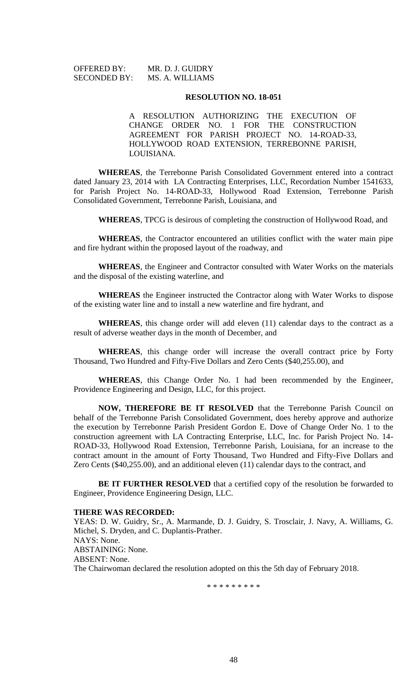| <b>OFFERED BY:</b>  | MR. D. J. GUIDRY |
|---------------------|------------------|
| <b>SECONDED BY:</b> | MS. A. WILLIAMS  |

#### **RESOLUTION NO. 18-051**

A RESOLUTION AUTHORIZING THE EXECUTION OF CHANGE ORDER NO. 1 FOR THE CONSTRUCTION AGREEMENT FOR PARISH PROJECT NO. 14-ROAD-33, HOLLYWOOD ROAD EXTENSION, TERREBONNE PARISH, LOUISIANA.

**WHEREAS**, the Terrebonne Parish Consolidated Government entered into a contract dated January 23, 2014 with LA Contracting Enterprises, LLC, Recordation Number 1541633, for Parish Project No. 14-ROAD-33, Hollywood Road Extension, Terrebonne Parish Consolidated Government, Terrebonne Parish, Louisiana, and

**WHEREAS**, TPCG is desirous of completing the construction of Hollywood Road, and

**WHEREAS**, the Contractor encountered an utilities conflict with the water main pipe and fire hydrant within the proposed layout of the roadway, and

**WHEREAS**, the Engineer and Contractor consulted with Water Works on the materials and the disposal of the existing waterline, and

**WHEREAS** the Engineer instructed the Contractor along with Water Works to dispose of the existing water line and to install a new waterline and fire hydrant, and

**WHEREAS**, this change order will add eleven (11) calendar days to the contract as a result of adverse weather days in the month of December, and

**WHEREAS**, this change order will increase the overall contract price by Forty Thousand, Two Hundred and Fifty-Five Dollars and Zero Cents (\$40,255.00), and

**WHEREAS**, this Change Order No. 1 had been recommended by the Engineer, Providence Engineering and Design, LLC, for this project.

**NOW, THEREFORE BE IT RESOLVED** that the Terrebonne Parish Council on behalf of the Terrebonne Parish Consolidated Government, does hereby approve and authorize the execution by Terrebonne Parish President Gordon E. Dove of Change Order No. 1 to the construction agreement with LA Contracting Enterprise, LLC, Inc. for Parish Project No. 14- ROAD-33, Hollywood Road Extension, Terrebonne Parish, Louisiana, for an increase to the contract amount in the amount of Forty Thousand, Two Hundred and Fifty-Five Dollars and Zero Cents (\$40,255.00), and an additional eleven (11) calendar days to the contract, and

**BE IT FURTHER RESOLVED** that a certified copy of the resolution be forwarded to Engineer, Providence Engineering Design, LLC.

### **THERE WAS RECORDED:**

YEAS: D. W. Guidry, Sr., A. Marmande, D. J. Guidry, S. Trosclair, J. Navy, A. Williams, G. Michel, S. Dryden, and C. Duplantis-Prather. NAYS: None. ABSTAINING: None. ABSENT: None. The Chairwoman declared the resolution adopted on this the 5th day of February 2018.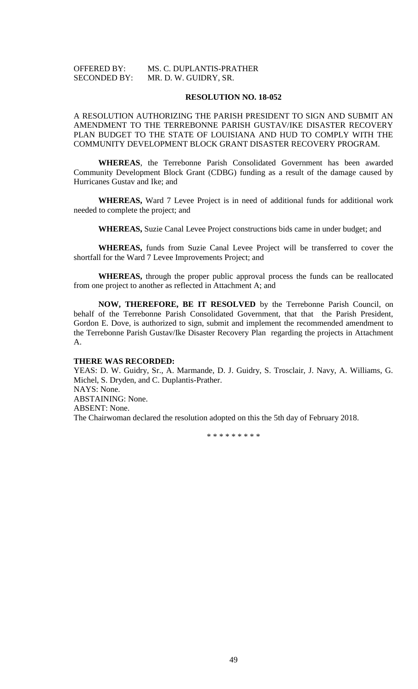# OFFERED BY: MS. C. DUPLANTIS-PRATHER SECONDED BY: MR. D. W. GUIDRY, SR.

# **RESOLUTION NO. 18-052**

# A RESOLUTION AUTHORIZING THE PARISH PRESIDENT TO SIGN AND SUBMIT AN AMENDMENT TO THE TERREBONNE PARISH GUSTAV/IKE DISASTER RECOVERY PLAN BUDGET TO THE STATE OF LOUISIANA AND HUD TO COMPLY WITH THE COMMUNITY DEVELOPMENT BLOCK GRANT DISASTER RECOVERY PROGRAM.

**WHEREAS**, the Terrebonne Parish Consolidated Government has been awarded Community Development Block Grant (CDBG) funding as a result of the damage caused by Hurricanes Gustav and Ike; and

**WHEREAS,** Ward 7 Levee Project is in need of additional funds for additional work needed to complete the project; and

**WHEREAS,** Suzie Canal Levee Project constructions bids came in under budget; and

**WHEREAS,** funds from Suzie Canal Levee Project will be transferred to cover the shortfall for the Ward 7 Levee Improvements Project; and

**WHEREAS,** through the proper public approval process the funds can be reallocated from one project to another as reflected in Attachment A; and

**NOW, THEREFORE, BE IT RESOLVED** by the Terrebonne Parish Council, on behalf of the Terrebonne Parish Consolidated Government, that that the Parish President, Gordon E. Dove, is authorized to sign, submit and implement the recommended amendment to the Terrebonne Parish Gustav/Ike Disaster Recovery Plan regarding the projects in Attachment A.

#### **THERE WAS RECORDED:**

YEAS: D. W. Guidry, Sr., A. Marmande, D. J. Guidry, S. Trosclair, J. Navy, A. Williams, G. Michel, S. Dryden, and C. Duplantis-Prather. NAYS: None. ABSTAINING: None. ABSENT: None. The Chairwoman declared the resolution adopted on this the 5th day of February 2018.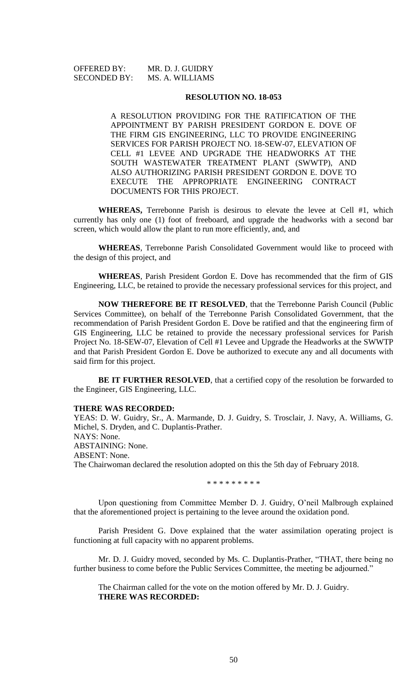OFFERED BY: MR. D. J. GUIDRY SECONDED BY: MS. A. WILLIAMS

#### **RESOLUTION NO. 18-053**

A RESOLUTION PROVIDING FOR THE RATIFICATION OF THE APPOINTMENT BY PARISH PRESIDENT GORDON E. DOVE OF THE FIRM GIS ENGINEERING, LLC TO PROVIDE ENGINEERING SERVICES FOR PARISH PROJECT NO. 18-SEW-07, ELEVATION OF CELL #1 LEVEE AND UPGRADE THE HEADWORKS AT THE SOUTH WASTEWATER TREATMENT PLANT (SWWTP), AND ALSO AUTHORIZING PARISH PRESIDENT GORDON E. DOVE TO EXECUTE THE APPROPRIATE ENGINEERING CONTRACT DOCUMENTS FOR THIS PROJECT.

**WHEREAS,** Terrebonne Parish is desirous to elevate the levee at Cell #1, which currently has only one (1) foot of freeboard, and upgrade the headworks with a second bar screen, which would allow the plant to run more efficiently, and, and

**WHEREAS**, Terrebonne Parish Consolidated Government would like to proceed with the design of this project, and

**WHEREAS**, Parish President Gordon E. Dove has recommended that the firm of GIS Engineering, LLC, be retained to provide the necessary professional services for this project, and

**NOW THEREFORE BE IT RESOLVED**, that the Terrebonne Parish Council (Public Services Committee), on behalf of the Terrebonne Parish Consolidated Government, that the recommendation of Parish President Gordon E. Dove be ratified and that the engineering firm of GIS Engineering, LLC be retained to provide the necessary professional services for Parish Project No. 18-SEW-07, Elevation of Cell #1 Levee and Upgrade the Headworks at the SWWTP and that Parish President Gordon E. Dove be authorized to execute any and all documents with said firm for this project.

**BE IT FURTHER RESOLVED**, that a certified copy of the resolution be forwarded to the Engineer, GIS Engineering, LLC.

#### **THERE WAS RECORDED:**

YEAS: D. W. Guidry, Sr., A. Marmande, D. J. Guidry, S. Trosclair, J. Navy, A. Williams, G. Michel, S. Dryden, and C. Duplantis-Prather. NAYS: None. ABSTAINING: None. ABSENT: None. The Chairwoman declared the resolution adopted on this the 5th day of February 2018.

\* \* \* \* \* \* \* \* \*

Upon questioning from Committee Member D. J. Guidry, O'neil Malbrough explained that the aforementioned project is pertaining to the levee around the oxidation pond.

Parish President G. Dove explained that the water assimilation operating project is functioning at full capacity with no apparent problems.

Mr. D. J. Guidry moved, seconded by Ms. C. Duplantis-Prather, "THAT, there being no further business to come before the Public Services Committee, the meeting be adjourned."

The Chairman called for the vote on the motion offered by Mr. D. J. Guidry. **THERE WAS RECORDED:**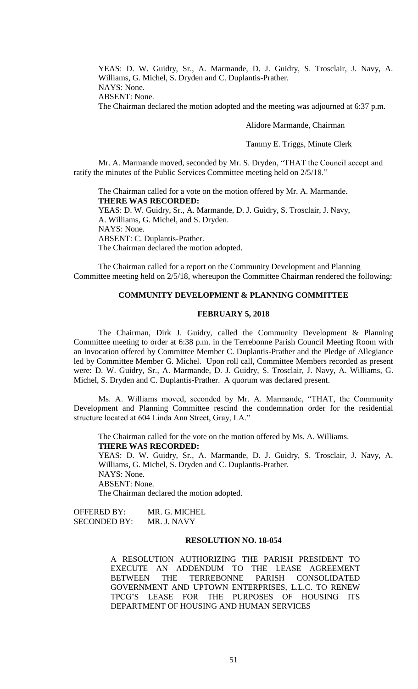YEAS: D. W. Guidry, Sr., A. Marmande, D. J. Guidry, S. Trosclair, J. Navy, A. Williams, G. Michel, S. Dryden and C. Duplantis-Prather. NAYS: None.

ABSENT: None.

The Chairman declared the motion adopted and the meeting was adjourned at 6:37 p.m.

#### Alidore Marmande, Chairman

Tammy E. Triggs, Minute Clerk

Mr. A. Marmande moved, seconded by Mr. S. Dryden, "THAT the Council accept and ratify the minutes of the Public Services Committee meeting held on 2/5/18."

The Chairman called for a vote on the motion offered by Mr. A. Marmande. **THERE WAS RECORDED:** YEAS: D. W. Guidry, Sr., A. Marmande, D. J. Guidry, S. Trosclair, J. Navy, A. Williams, G. Michel, and S. Dryden. NAYS: None. ABSENT: C. Duplantis-Prather. The Chairman declared the motion adopted.

The Chairman called for a report on the Community Development and Planning Committee meeting held on 2/5/18, whereupon the Committee Chairman rendered the following:

# **COMMUNITY DEVELOPMENT & PLANNING COMMITTEE**

# **FEBRUARY 5, 2018**

The Chairman, Dirk J. Guidry, called the Community Development & Planning Committee meeting to order at 6:38 p.m. in the Terrebonne Parish Council Meeting Room with an Invocation offered by Committee Member C. Duplantis-Prather and the Pledge of Allegiance led by Committee Member G. Michel. Upon roll call, Committee Members recorded as present were: D. W. Guidry, Sr., A. Marmande, D. J. Guidry, S. Trosclair, J. Navy, A. Williams, G. Michel, S. Dryden and C. Duplantis-Prather. A quorum was declared present.

Ms. A. Williams moved, seconded by Mr. A. Marmande, "THAT, the Community Development and Planning Committee rescind the condemnation order for the residential structure located at 604 Linda Ann Street, Gray, LA."

The Chairman called for the vote on the motion offered by Ms. A. Williams. **THERE WAS RECORDED:**

YEAS: D. W. Guidry, Sr., A. Marmande, D. J. Guidry, S. Trosclair, J. Navy, A. Williams, G. Michel, S. Dryden and C. Duplantis-Prather. NAYS: None. ABSENT: None.

The Chairman declared the motion adopted.

OFFERED BY: MR. G. MICHEL SECONDED BY: MR. J. NAVY

# **RESOLUTION NO. 18-054**

A RESOLUTION AUTHORIZING THE PARISH PRESIDENT TO EXECUTE AN ADDENDUM TO THE LEASE AGREEMENT BETWEEN THE TERREBONNE PARISH CONSOLIDATED GOVERNMENT AND UPTOWN ENTERPRISES, L.L.C. TO RENEW TPCG'S LEASE FOR THE PURPOSES OF HOUSING ITS DEPARTMENT OF HOUSING AND HUMAN SERVICES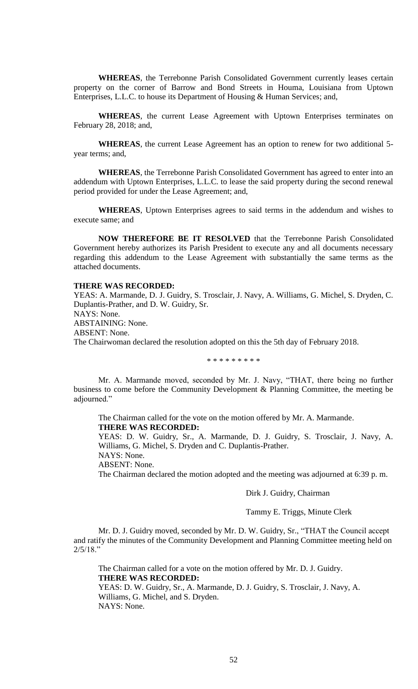**WHEREAS**, the Terrebonne Parish Consolidated Government currently leases certain property on the corner of Barrow and Bond Streets in Houma, Louisiana from Uptown Enterprises, L.L.C. to house its Department of Housing & Human Services; and,

**WHEREAS**, the current Lease Agreement with Uptown Enterprises terminates on February 28, 2018; and,

**WHEREAS**, the current Lease Agreement has an option to renew for two additional 5 year terms; and,

**WHEREAS**, the Terrebonne Parish Consolidated Government has agreed to enter into an addendum with Uptown Enterprises, L.L.C. to lease the said property during the second renewal period provided for under the Lease Agreement; and,

**WHEREAS**, Uptown Enterprises agrees to said terms in the addendum and wishes to execute same; and

**NOW THEREFORE BE IT RESOLVED** that the Terrebonne Parish Consolidated Government hereby authorizes its Parish President to execute any and all documents necessary regarding this addendum to the Lease Agreement with substantially the same terms as the attached documents.

# **THERE WAS RECORDED:**

YEAS: A. Marmande, D. J. Guidry, S. Trosclair, J. Navy, A. Williams, G. Michel, S. Dryden, C. Duplantis-Prather, and D. W. Guidry, Sr. NAYS: None. ABSTAINING: None. ABSENT: None. The Chairwoman declared the resolution adopted on this the 5th day of February 2018.

\* \* \* \* \* \* \* \* \*

Mr. A. Marmande moved, seconded by Mr. J. Navy, "THAT, there being no further business to come before the Community Development & Planning Committee, the meeting be adjourned."

The Chairman called for the vote on the motion offered by Mr. A. Marmande. **THERE WAS RECORDED:**

YEAS: D. W. Guidry, Sr., A. Marmande, D. J. Guidry, S. Trosclair, J. Navy, A. Williams, G. Michel, S. Dryden and C. Duplantis-Prather.

NAYS: None.

ABSENT: None.

The Chairman declared the motion adopted and the meeting was adjourned at 6:39 p. m.

### Dirk J. Guidry, Chairman

### Tammy E. Triggs, Minute Clerk

Mr. D. J. Guidry moved, seconded by Mr. D. W. Guidry, Sr., "THAT the Council accept and ratify the minutes of the Community Development and Planning Committee meeting held on 2/5/18."

The Chairman called for a vote on the motion offered by Mr. D. J. Guidry. **THERE WAS RECORDED:** YEAS: D. W. Guidry, Sr., A. Marmande, D. J. Guidry, S. Trosclair, J. Navy, A. Williams, G. Michel, and S. Dryden. NAYS: None.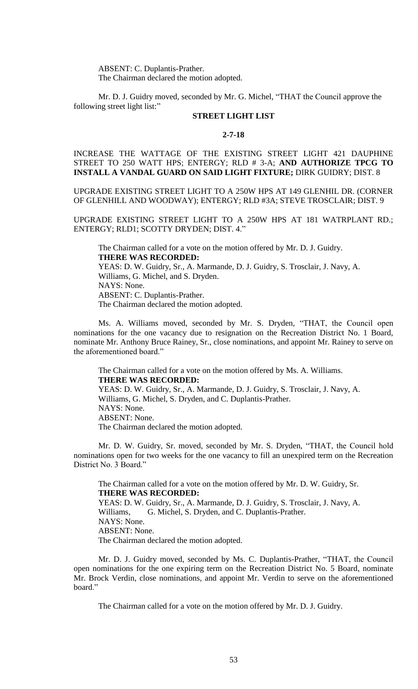ABSENT: C. Duplantis-Prather. The Chairman declared the motion adopted.

Mr. D. J. Guidry moved, seconded by Mr. G. Michel, "THAT the Council approve the following street light list:"

# **STREET LIGHT LIST**

# **2-7-18**

INCREASE THE WATTAGE OF THE EXISTING STREET LIGHT 421 DAUPHINE STREET TO 250 WATT HPS; ENTERGY; RLD # 3-A; **AND AUTHORIZE TPCG TO INSTALL A VANDAL GUARD ON SAID LIGHT FIXTURE;** DIRK GUIDRY; DIST. 8

UPGRADE EXISTING STREET LIGHT TO A 250W HPS AT 149 GLENHIL DR. (CORNER OF GLENHILL AND WOODWAY); ENTERGY; RLD #3A; STEVE TROSCLAIR; DIST. 9

UPGRADE EXISTING STREET LIGHT TO A 250W HPS AT 181 WATRPLANT RD.; ENTERGY; RLD1; SCOTTY DRYDEN; DIST. 4."

The Chairman called for a vote on the motion offered by Mr. D. J. Guidry. **THERE WAS RECORDED:** YEAS: D. W. Guidry, Sr., A. Marmande, D. J. Guidry, S. Trosclair, J. Navy, A. Williams, G. Michel, and S. Dryden. NAYS: None. ABSENT: C. Duplantis-Prather. The Chairman declared the motion adopted.

Ms. A. Williams moved, seconded by Mr. S. Dryden, "THAT, the Council open nominations for the one vacancy due to resignation on the Recreation District No. 1 Board, nominate Mr. Anthony Bruce Rainey, Sr., close nominations, and appoint Mr. Rainey to serve on the aforementioned board."

The Chairman called for a vote on the motion offered by Ms. A. Williams. **THERE WAS RECORDED:** YEAS: D. W. Guidry, Sr., A. Marmande, D. J. Guidry, S. Trosclair, J. Navy, A. Williams, G. Michel, S. Dryden, and C. Duplantis-Prather. NAYS: None. ABSENT: None. The Chairman declared the motion adopted.

Mr. D. W. Guidry, Sr. moved, seconded by Mr. S. Dryden, "THAT, the Council hold nominations open for two weeks for the one vacancy to fill an unexpired term on the Recreation District No. 3 Board."

The Chairman called for a vote on the motion offered by Mr. D. W. Guidry, Sr. **THERE WAS RECORDED:** YEAS: D. W. Guidry, Sr., A. Marmande, D. J. Guidry, S. Trosclair, J. Navy, A. Williams, G. Michel, S. Dryden, and C. Duplantis-Prather. NAYS: None. ABSENT: None. The Chairman declared the motion adopted.

Mr. D. J. Guidry moved, seconded by Ms. C. Duplantis-Prather, "THAT, the Council open nominations for the one expiring term on the Recreation District No. 5 Board, nominate Mr. Brock Verdin, close nominations, and appoint Mr. Verdin to serve on the aforementioned board."

The Chairman called for a vote on the motion offered by Mr. D. J. Guidry.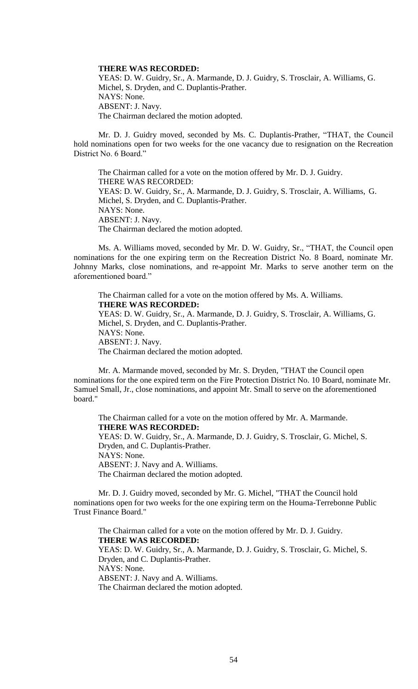#### **THERE WAS RECORDED:**

YEAS: D. W. Guidry, Sr., A. Marmande, D. J. Guidry, S. Trosclair, A. Williams, G. Michel, S. Dryden, and C. Duplantis-Prather. NAYS: None. ABSENT: J. Navy. The Chairman declared the motion adopted.

Mr. D. J. Guidry moved, seconded by Ms. C. Duplantis-Prather, "THAT, the Council hold nominations open for two weeks for the one vacancy due to resignation on the Recreation District No. 6 Board."

The Chairman called for a vote on the motion offered by Mr. D. J. Guidry. THERE WAS RECORDED: YEAS: D. W. Guidry, Sr., A. Marmande, D. J. Guidry, S. Trosclair, A. Williams, G. Michel, S. Dryden, and C. Duplantis-Prather. NAYS: None. ABSENT: J. Navy. The Chairman declared the motion adopted.

Ms. A. Williams moved, seconded by Mr. D. W. Guidry, Sr., "THAT, the Council open nominations for the one expiring term on the Recreation District No. 8 Board, nominate Mr. Johnny Marks, close nominations, and re-appoint Mr. Marks to serve another term on the aforementioned board."

The Chairman called for a vote on the motion offered by Ms. A. Williams. **THERE WAS RECORDED:** YEAS: D. W. Guidry, Sr., A. Marmande, D. J. Guidry, S. Trosclair, A. Williams, G. Michel, S. Dryden, and C. Duplantis-Prather. NAYS: None. ABSENT: J. Navy. The Chairman declared the motion adopted.

Mr. A. Marmande moved, seconded by Mr. S. Dryden, "THAT the Council open nominations for the one expired term on the Fire Protection District No. 10 Board, nominate Mr. Samuel Small, Jr., close nominations, and appoint Mr. Small to serve on the aforementioned board."

The Chairman called for a vote on the motion offered by Mr. A. Marmande. **THERE WAS RECORDED:** YEAS: D. W. Guidry, Sr., A. Marmande, D. J. Guidry, S. Trosclair, G. Michel, S. Dryden, and C. Duplantis-Prather. NAYS: None. ABSENT: J. Navy and A. Williams. The Chairman declared the motion adopted.

Mr. D. J. Guidry moved, seconded by Mr. G. Michel, "THAT the Council hold nominations open for two weeks for the one expiring term on the Houma-Terrebonne Public Trust Finance Board."

The Chairman called for a vote on the motion offered by Mr. D. J. Guidry. **THERE WAS RECORDED:** YEAS: D. W. Guidry, Sr., A. Marmande, D. J. Guidry, S. Trosclair, G. Michel, S. Dryden, and C. Duplantis-Prather. NAYS: None. ABSENT: J. Navy and A. Williams. The Chairman declared the motion adopted.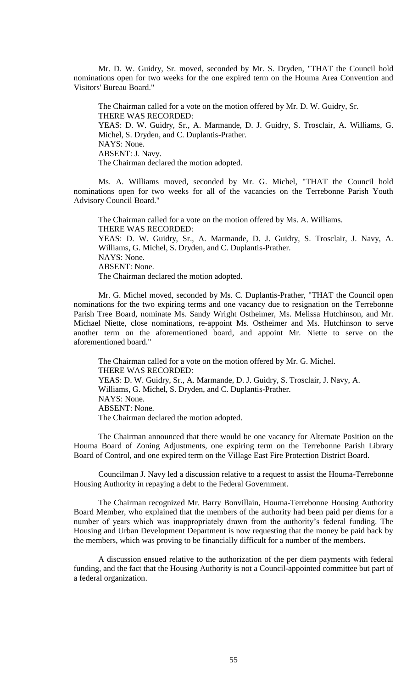Mr. D. W. Guidry, Sr. moved, seconded by Mr. S. Dryden, "THAT the Council hold nominations open for two weeks for the one expired term on the Houma Area Convention and Visitors' Bureau Board."

The Chairman called for a vote on the motion offered by Mr. D. W. Guidry, Sr. THERE WAS RECORDED: YEAS: D. W. Guidry, Sr., A. Marmande, D. J. Guidry, S. Trosclair, A. Williams, G. Michel, S. Dryden, and C. Duplantis-Prather. NAYS: None. ABSENT: J. Navy. The Chairman declared the motion adopted.

Ms. A. Williams moved, seconded by Mr. G. Michel, "THAT the Council hold nominations open for two weeks for all of the vacancies on the Terrebonne Parish Youth Advisory Council Board."

The Chairman called for a vote on the motion offered by Ms. A. Williams. THERE WAS RECORDED: YEAS: D. W. Guidry, Sr., A. Marmande, D. J. Guidry, S. Trosclair, J. Navy, A. Williams, G. Michel, S. Dryden, and C. Duplantis-Prather. NAYS: None. ABSENT: None. The Chairman declared the motion adopted.

Mr. G. Michel moved, seconded by Ms. C. Duplantis-Prather, "THAT the Council open nominations for the two expiring terms and one vacancy due to resignation on the Terrebonne Parish Tree Board, nominate Ms. Sandy Wright Ostheimer, Ms. Melissa Hutchinson, and Mr. Michael Niette, close nominations, re-appoint Ms. Ostheimer and Ms. Hutchinson to serve another term on the aforementioned board, and appoint Mr. Niette to serve on the aforementioned board."

The Chairman called for a vote on the motion offered by Mr. G. Michel. THERE WAS RECORDED: YEAS: D. W. Guidry, Sr., A. Marmande, D. J. Guidry, S. Trosclair, J. Navy, A. Williams, G. Michel, S. Dryden, and C. Duplantis-Prather. NAYS: None. ABSENT: None. The Chairman declared the motion adopted.

The Chairman announced that there would be one vacancy for Alternate Position on the Houma Board of Zoning Adjustments, one expiring term on the Terrebonne Parish Library Board of Control, and one expired term on the Village East Fire Protection District Board.

Councilman J. Navy led a discussion relative to a request to assist the Houma-Terrebonne Housing Authority in repaying a debt to the Federal Government.

The Chairman recognized Mr. Barry Bonvillain, Houma-Terrebonne Housing Authority Board Member, who explained that the members of the authority had been paid per diems for a number of years which was inappropriately drawn from the authority's federal funding. The Housing and Urban Development Department is now requesting that the money be paid back by the members, which was proving to be financially difficult for a number of the members.

A discussion ensued relative to the authorization of the per diem payments with federal funding, and the fact that the Housing Authority is not a Council-appointed committee but part of a federal organization.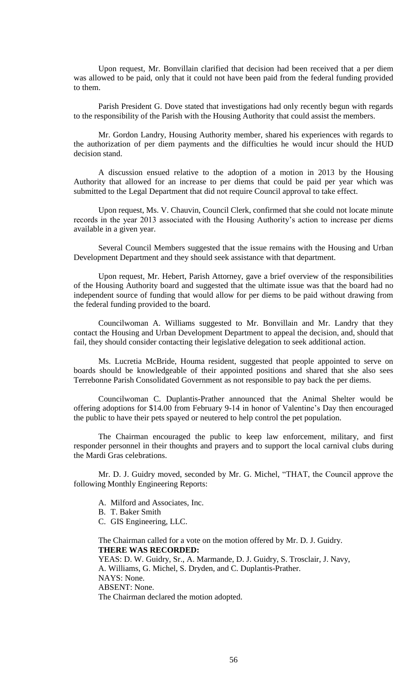Upon request, Mr. Bonvillain clarified that decision had been received that a per diem was allowed to be paid, only that it could not have been paid from the federal funding provided to them.

Parish President G. Dove stated that investigations had only recently begun with regards to the responsibility of the Parish with the Housing Authority that could assist the members.

Mr. Gordon Landry, Housing Authority member, shared his experiences with regards to the authorization of per diem payments and the difficulties he would incur should the HUD decision stand.

A discussion ensued relative to the adoption of a motion in 2013 by the Housing Authority that allowed for an increase to per diems that could be paid per year which was submitted to the Legal Department that did not require Council approval to take effect.

Upon request, Ms. V. Chauvin, Council Clerk, confirmed that she could not locate minute records in the year 2013 associated with the Housing Authority's action to increase per diems available in a given year.

Several Council Members suggested that the issue remains with the Housing and Urban Development Department and they should seek assistance with that department.

Upon request, Mr. Hebert, Parish Attorney, gave a brief overview of the responsibilities of the Housing Authority board and suggested that the ultimate issue was that the board had no independent source of funding that would allow for per diems to be paid without drawing from the federal funding provided to the board.

Councilwoman A. Williams suggested to Mr. Bonvillain and Mr. Landry that they contact the Housing and Urban Development Department to appeal the decision, and, should that fail, they should consider contacting their legislative delegation to seek additional action.

Ms. Lucretia McBride, Houma resident, suggested that people appointed to serve on boards should be knowledgeable of their appointed positions and shared that she also sees Terrebonne Parish Consolidated Government as not responsible to pay back the per diems.

Councilwoman C. Duplantis-Prather announced that the Animal Shelter would be offering adoptions for \$14.00 from February 9-14 in honor of Valentine's Day then encouraged the public to have their pets spayed or neutered to help control the pet population.

The Chairman encouraged the public to keep law enforcement, military, and first responder personnel in their thoughts and prayers and to support the local carnival clubs during the Mardi Gras celebrations.

Mr. D. J. Guidry moved, seconded by Mr. G. Michel, "THAT, the Council approve the following Monthly Engineering Reports:

- A. Milford and Associates, Inc.
- B. T. Baker Smith
- C. GIS Engineering, LLC.

The Chairman called for a vote on the motion offered by Mr. D. J. Guidry. **THERE WAS RECORDED:**

YEAS: D. W. Guidry, Sr., A. Marmande, D. J. Guidry, S. Trosclair, J. Navy, A. Williams, G. Michel, S. Dryden, and C. Duplantis-Prather. NAYS: None. ABSENT: None. The Chairman declared the motion adopted.